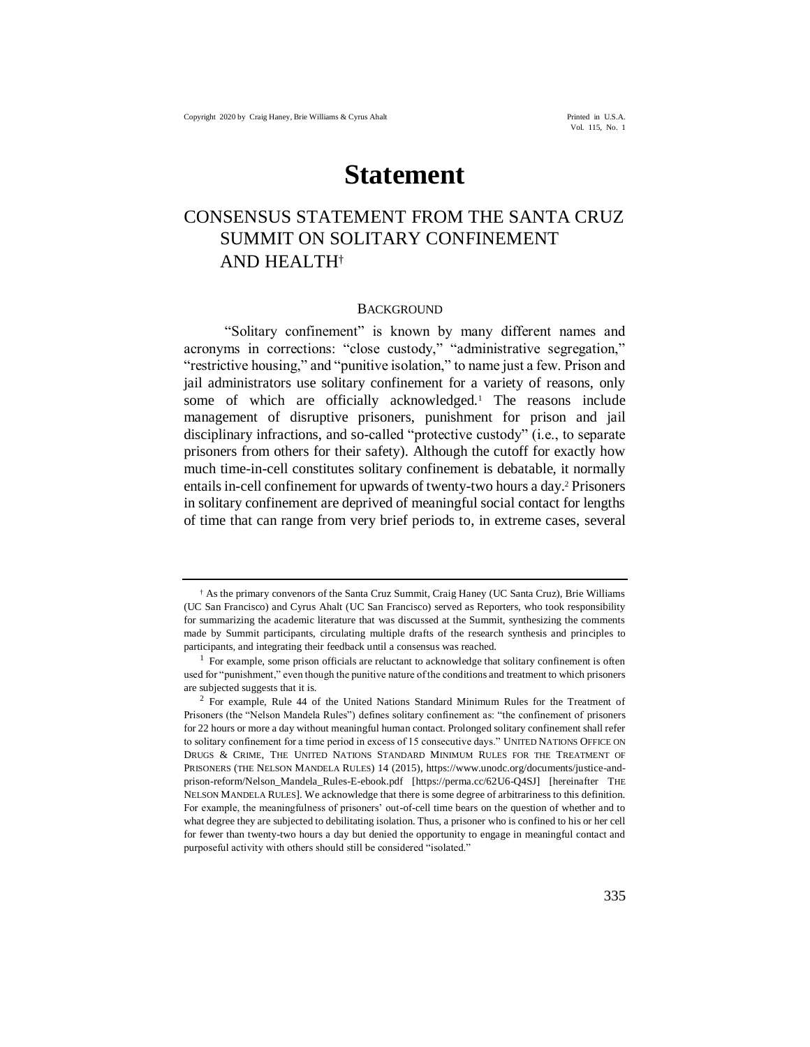# **Statement**

# CONSENSUS STATEMENT FROM THE SANTA CRUZ SUMMIT ON SOLITARY CONFINEMENT AND HEALTH†

#### <span id="page-0-0"></span>**BACKGROUND**

"Solitary confinement" is known by many different names and acronyms in corrections: "close custody," "administrative segregation," "restrictive housing," and "punitive isolation," to name just a few. Prison and jail administrators use solitary confinement for a variety of reasons, only some of which are officially acknowledged.<sup>1</sup> The reasons include management of disruptive prisoners, punishment for prison and jail disciplinary infractions, and so-called "protective custody" (i.e., to separate prisoners from others for their safety). Although the cutoff for exactly how much time-in-cell constitutes solitary confinement is debatable, it normally entails in-cell confinement for upwards of twenty-two hours a day.<sup>2</sup> Prisoners in solitary confinement are deprived of meaningful social contact for lengths of time that can range from very brief periods to, in extreme cases, several

<sup>†</sup> As the primary convenors of the Santa Cruz Summit, Craig Haney (UC Santa Cruz), Brie Williams (UC San Francisco) and Cyrus Ahalt (UC San Francisco) served as Reporters, who took responsibility for summarizing the academic literature that was discussed at the Summit, synthesizing the comments made by Summit participants, circulating multiple drafts of the research synthesis and principles to participants, and integrating their feedback until a consensus was reached.

 $<sup>1</sup>$  For example, some prison officials are reluctant to acknowledge that solitary confinement is often</sup> used for "punishment," even though the punitive nature of the conditions and treatment to which prisoners are subjected suggests that it is.

<sup>2</sup> For example, Rule 44 of the United Nations Standard Minimum Rules for the Treatment of Prisoners (the "Nelson Mandela Rules") defines solitary confinement as: "the confinement of prisoners for 22 hours or more a day without meaningful human contact. Prolonged solitary confinement shall refer to solitary confinement for a time period in excess of 15 consecutive days." UNITED NATIONS OFFICE ON DRUGS & CRIME, THE UNITED NATIONS STANDARD MINIMUM RULES FOR THE TREATMENT OF PRISONERS (THE NELSON MANDELA RULES) 14 (2015), https://www.unodc.org/documents/justice-andprison-reform/Nelson\_Mandela\_Rules-E-ebook.pdf [https://perma.cc/62U6-Q4SJ] [hereinafter THE NELSON MANDELA RULES]. We acknowledge that there is some degree of arbitrariness to this definition. For example, the meaningfulness of prisoners' out-of-cell time bears on the question of whether and to what degree they are subjected to debilitating isolation. Thus, a prisoner who is confined to his or her cell for fewer than twenty-two hours a day but denied the opportunity to engage in meaningful contact and purposeful activity with others should still be considered "isolated."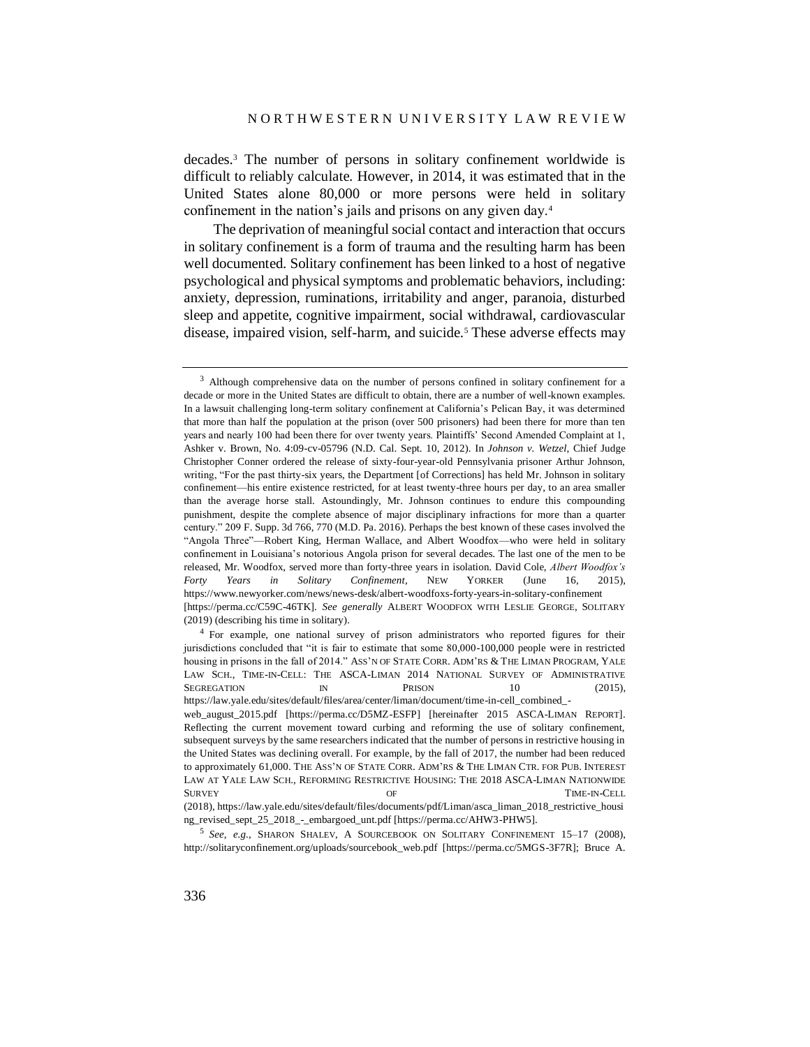decades.<sup>3</sup> The number of persons in solitary confinement worldwide is difficult to reliably calculate. However, in 2014, it was estimated that in the United States alone 80,000 or more persons were held in solitary confinement in the nation's jails and prisons on any given day.<sup>4</sup>

<span id="page-1-0"></span>The deprivation of meaningful social contact and interaction that occurs in solitary confinement is a form of trauma and the resulting harm has been well documented. Solitary confinement has been linked to a host of negative psychological and physical symptoms and problematic behaviors, including: anxiety, depression, ruminations, irritability and anger, paranoia, disturbed sleep and appetite, cognitive impairment, social withdrawal, cardiovascular disease, impaired vision, self-harm, and suicide.<sup>5</sup> These adverse effects may

<sup>&</sup>lt;sup>3</sup> Although comprehensive data on the number of persons confined in solitary confinement for a decade or more in the United States are difficult to obtain, there are a number of well-known examples. In a lawsuit challenging long-term solitary confinement at California's Pelican Bay, it was determined that more than half the population at the prison (over 500 prisoners) had been there for more than ten years and nearly 100 had been there for over twenty years. Plaintiffs' Second Amended Complaint at 1, Ashker v. Brown, No. 4:09-cv-05796 (N.D. Cal. Sept. 10, 2012). In *Johnson v. Wetzel*, Chief Judge Christopher Conner ordered the release of sixty-four-year-old Pennsylvania prisoner Arthur Johnson, writing, "For the past thirty-six years, the Department [of Corrections] has held Mr. Johnson in solitary confinement—his entire existence restricted, for at least twenty-three hours per day, to an area smaller than the average horse stall. Astoundingly, Mr. Johnson continues to endure this compounding punishment, despite the complete absence of major disciplinary infractions for more than a quarter century." 209 F. Supp. 3d 766, 770 (M.D. Pa. 2016). Perhaps the best known of these cases involved the "Angola Three"—Robert King, Herman Wallace, and Albert Woodfox—who were held in solitary confinement in Louisiana's notorious Angola prison for several decades. The last one of the men to be released, Mr. Woodfox, served more than forty-three years in isolation. David Cole, *Albert Woodfox's Forty Years in Solitary Confinement*, NEW YORKER (June 16, 2015), https://www.newyorker.com/news/news-desk/albert-woodfoxs-forty-years-in-solitary-confinement [https://perma.cc/C59C-46TK]. *See generally* ALBERT WOODFOX WITH LESLIE GEORGE, SOLITARY (2019) (describing his time in solitary).

<sup>4</sup> For example, one national survey of prison administrators who reported figures for their jurisdictions concluded that "it is fair to estimate that some 80,000-100,000 people were in restricted housing in prisons in the fall of 2014." ASS'N OF STATE CORR. ADM'RS & THE LIMAN PROGRAM, YALE LAW SCH., TIME-IN-CELL: THE ASCA-LIMAN 2014 NATIONAL SURVEY OF ADMINISTRATIVE SEGREGATION IN PRISON 10 (2015), https://law.yale.edu/sites/default/files/area/center/liman/document/time-in-cell\_combined\_ web\_august\_2015.pdf [https://perma.cc/D5MZ-ESFP] [hereinafter 2015 ASCA-LIMAN REPORT]. Reflecting the current movement toward curbing and reforming the use of solitary confinement, subsequent surveys by the same researchers indicated that the number of persons in restrictive housing in the United States was declining overall. For example, by the fall of 2017, the number had been reduced to approximately 61,000. THE ASS'N OF STATE CORR. ADM'RS & THE LIMAN CTR. FOR PUB. INTEREST LAW AT YALE LAW SCH., REFORMING RESTRICTIVE HOUSING: THE 2018 ASCA-LIMAN NATIONWIDE SURVEY OF OF TIME-IN-CELL (2018), https://law.yale.edu/sites/default/files/documents/pdf/Liman/asca\_liman\_2018\_restrictive\_housi

ng\_revised\_sept\_25\_2018\_-\_embargoed\_unt.pdf [https://perma.cc/AHW3-PHW5]. 5 *See, e.g.*, SHARON SHALEV, A SOURCEBOOK ON SOLITARY CONFINEMENT 15–17 (2008), http://solitaryconfinement.org/uploads/sourcebook\_web.pdf [https://perma.cc/5MGS-3F7R]; Bruce A.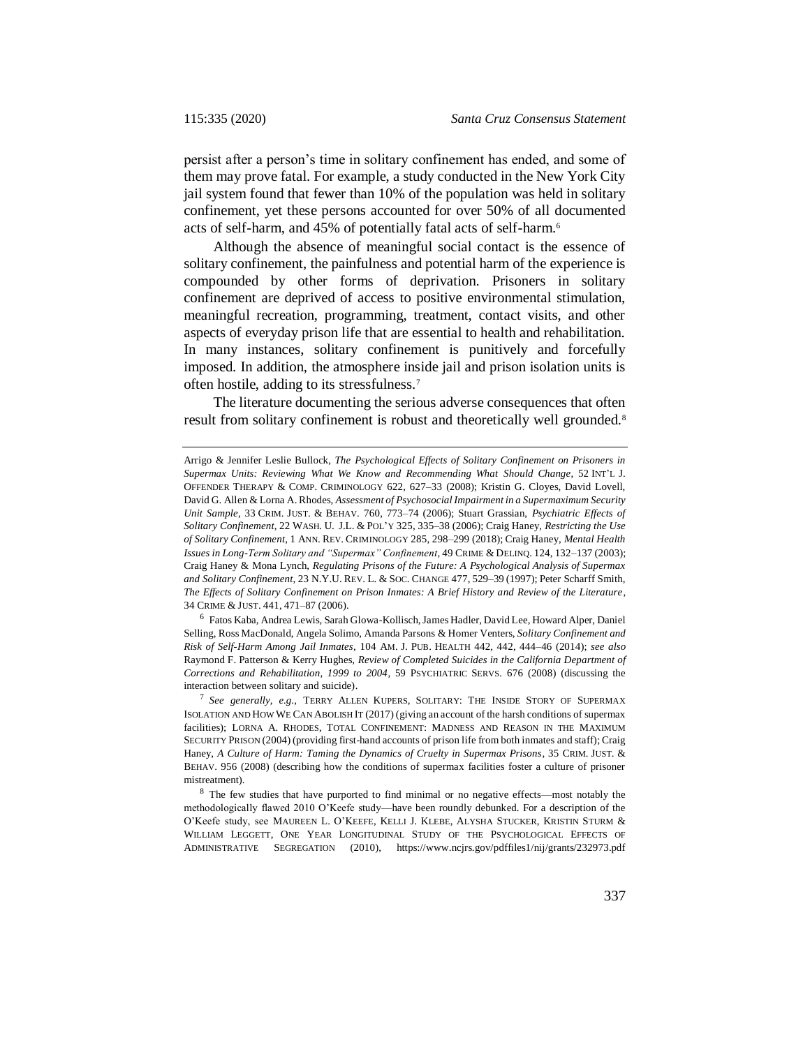persist after a person's time in solitary confinement has ended, and some of them may prove fatal. For example, a study conducted in the New York City jail system found that fewer than 10% of the population was held in solitary confinement, yet these persons accounted for over 50% of all documented acts of self-harm, and 45% of potentially fatal acts of self-harm.<sup>6</sup>

Although the absence of meaningful social contact is the essence of solitary confinement, the painfulness and potential harm of the experience is compounded by other forms of deprivation. Prisoners in solitary confinement are deprived of access to positive environmental stimulation, meaningful recreation, programming, treatment, contact visits, and other aspects of everyday prison life that are essential to health and rehabilitation. In many instances, solitary confinement is punitively and forcefully imposed. In addition, the atmosphere inside jail and prison isolation units is often hostile, adding to its stressfulness.<sup>7</sup>

The literature documenting the serious adverse consequences that often result from solitary confinement is robust and theoretically well grounded.<sup>8</sup>

<sup>6</sup> Fatos Kaba, Andrea Lewis, Sarah Glowa-Kollisch, James Hadler, David Lee, Howard Alper, Daniel Selling, Ross MacDonald, Angela Solimo, Amanda Parsons & Homer Venters, *Solitary Confinement and Risk of Self-Harm Among Jail Inmates*, 104 AM. J. PUB. HEALTH 442, 442, 444–46 (2014); *see also* Raymond F. Patterson & Kerry Hughes, *Review of Completed Suicides in the California Department of Corrections and Rehabilitation, 1999 to 2004*, 59 PSYCHIATRIC SERVS. 676 (2008) (discussing the interaction between solitary and suicide).

7 *See generally, e.g.*, TERRY ALLEN KUPERS, SOLITARY: THE INSIDE STORY OF SUPERMAX ISOLATION AND HOW WE CAN ABOLISH IT (2017) (giving an account of the harsh conditions of supermax facilities); LORNA A. RHODES, TOTAL CONFINEMENT: MADNESS AND REASON IN THE MAXIMUM SECURITY PRISON (2004) (providing first-hand accounts of prison life from both inmates and staff); Craig Haney, *A Culture of Harm: Taming the Dynamics of Cruelty in Supermax Prisons*, 35 CRIM. JUST. & BEHAV. 956 (2008) (describing how the conditions of supermax facilities foster a culture of prisoner mistreatment).

<sup>8</sup> The few studies that have purported to find minimal or no negative effects—most notably the methodologically flawed 2010 O'Keefe study—have been roundly debunked. For a description of the O'Keefe study, see MAUREEN L. O'KEEFE, KELLI J. KLEBE, ALYSHA STUCKER, KRISTIN STURM & WILLIAM LEGGETT, ONE YEAR LONGITUDINAL STUDY OF THE PSYCHOLOGICAL EFFECTS OF ADMINISTRATIVE SEGREGATION (2010), https://www.ncjrs.gov/pdffiles1/nij/grants/232973.pdf

Arrigo & Jennifer Leslie Bullock, *The Psychological Effects of Solitary Confinement on Prisoners in Supermax Units: Reviewing What We Know and Recommending What Should Change*, 52 INT'L J. OFFENDER THERAPY & COMP. CRIMINOLOGY 622, 627–33 (2008); Kristin G. Cloyes, David Lovell, David G. Allen & Lorna A. Rhodes, *Assessment of Psychosocial Impairment in a Supermaximum Security Unit Sample*, 33 CRIM. JUST. & BEHAV. 760, 773–74 (2006); Stuart Grassian, *Psychiatric Effects of Solitary Confinement*, 22 WASH. U. J.L. & POL'Y 325, 335–38 (2006); Craig Haney, *Restricting the Use of Solitary Confinement*, 1 ANN. REV. CRIMINOLOGY 285, 298–299 (2018); Craig Haney, *Mental Health Issues in Long-Term Solitary and "Supermax" Confinement*, 49 CRIME & DELINQ. 124, 132–137 (2003); Craig Haney & Mona Lynch, *Regulating Prisons of the Future: A Psychological Analysis of Supermax and Solitary Confinement*, 23 N.Y.U. REV. L. & SOC. CHANGE 477, 529–39 (1997); Peter Scharff Smith, *The Effects of Solitary Confinement on Prison Inmates: A Brief History and Review of the Literature*, 34 CRIME & JUST. 441, 471–87 (2006).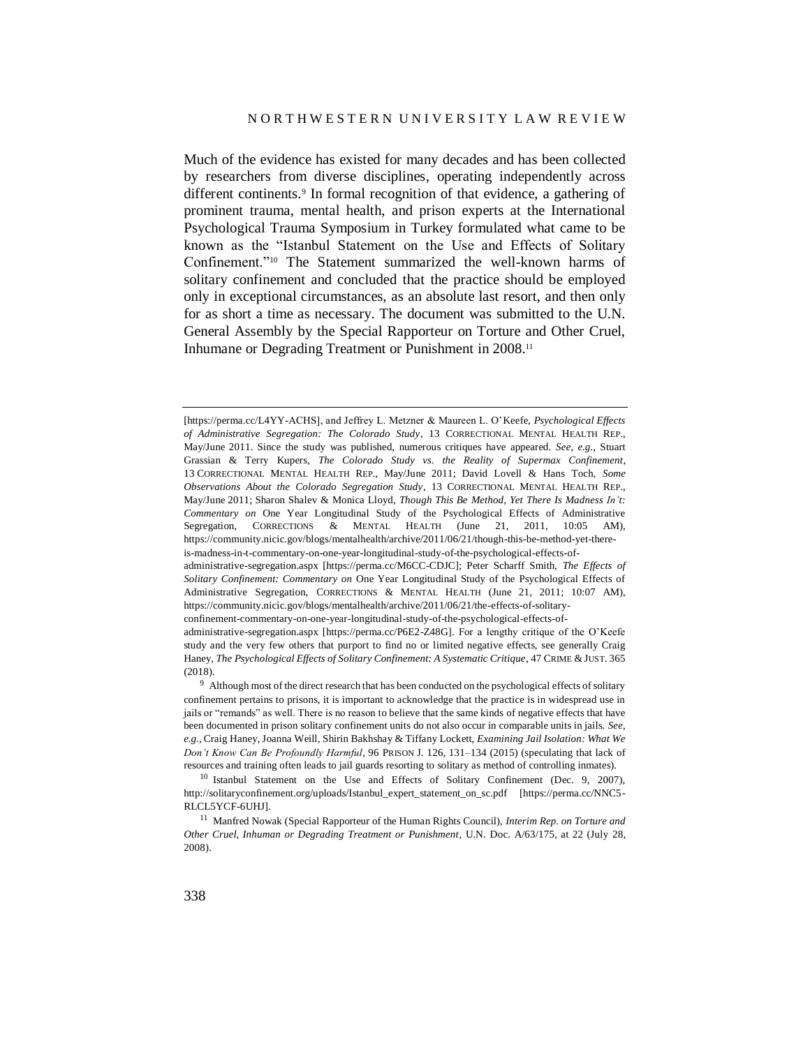Much of the evidence has existed for many decades and has been collected by researchers from diverse disciplines, operating independently across different continents.<sup>9</sup> In formal recognition of that evidence, a gathering of prominent trauma, mental health, and prison experts at the International Psychological Trauma Symposium in Turkey formulated what came to be known as the "Istanbul Statement on the Use and Effects of Solitary Confinement."<sup>10</sup> The Statement summarized the well-known harms of solitary confinement and concluded that the practice should be employed only in exceptional circumstances, as an absolute last resort, and then only for as short a time as necessary. The document was submitted to the U.N. General Assembly by the Special Rapporteur on Torture and Other Cruel, Inhumane or Degrading Treatment or Punishment in 2008.<sup>11</sup>

[https://perma.cc/L4YY-ACHS], and Jeffrey L. Metzner & Maureen L. O'Keefe, *Psychological Effects of Administrative Segregation: The Colorado Study*, 13 CORRECTIONAL MENTAL HEALTH REP., May/June 2011. Since the study was published, numerous critiques have appeared*. See, e.g.*, Stuart Grassian & Terry Kupers, *The Colorado Study vs. the Reality of Supermax Confinement*, 13 CORRECTIONAL MENTAL HEALTH REP., May/June 2011; David Lovell & Hans Toch, *Some Observations About the Colorado Segregation Study*, 13 CORRECTIONAL MENTAL HEALTH REP., May/June 2011; Sharon Shalev & Monica Lloyd, *Though This Be Method, Yet There Is Madness In't: Commentary on* One Year Longitudinal Study of the Psychological Effects of Administrative Segregation, CORRECTIONS & MENTAL HEALTH (June 21, 2011, 10:05 AM), https://community.nicic.gov/blogs/mentalhealth/archive/2011/06/21/though-this-be-method-yet-thereis-madness-in-t-commentary-on-one-year-longitudinal-study-of-the-psychological-effects-of-

administrative-segregation.aspx [https://perma.cc/M6CC-CDJC]; Peter Scharff Smith, *The Effects of Solitary Confinement: Commentary on* One Year Longitudinal Study of the Psychological Effects of Administrative Segregation, CORRECTIONS & MENTAL HEALTH (June 21, 2011; 10:07 AM), https://community.nicic.gov/blogs/mentalhealth/archive/2011/06/21/the-effects-of-solitaryconfinement-commentary-on-one-year-longitudinal-study-of-the-psychological-effects-of-

administrative-segregation.aspx [https://perma.cc/P6E2-Z48G]. For a lengthy critique of the O'Keefe study and the very few others that purport to find no or limited negative effects, see generally Craig Haney, *The Psychological Effects of Solitary Confinement: A Systematic Critique*, 47 CRIME & JUST. 365 (2018).

<sup>9</sup> Although most of the direct research that has been conducted on the psychological effects of solitary confinement pertains to prisons, it is important to acknowledge that the practice is in widespread use in jails or "remands" as well. There is no reason to believe that the same kinds of negative effects that have been documented in prison solitary confinement units do not also occur in comparable units in jails. *See, e.g.*, Craig Haney, Joanna Weill, Shirin Bakhshay & Tiffany Lockett, *Examining Jail Isolation: What We Don't Know Can Be Profoundly Harmful*, 96 PRISON J. 126, 131–134 (2015) (speculating that lack of resources and training often leads to jail guards resorting to solitary as method of controlling inmates).

<sup>&</sup>lt;sup>10</sup> Istanbul Statement on the Use and Effects of Solitary Confinement (Dec. 9, 2007), http://solitaryconfinement.org/uploads/Istanbul\_expert\_statement\_on\_sc.pdf [https://perma.cc/NNC5- RLCL5YCF-6UHJ].

<sup>11</sup> Manfred Nowak (Special Rapporteur of the Human Rights Council), *Interim Rep. on Torture and Other Cruel, Inhuman or Degrading Treatment or Punishment*, U.N. Doc. A/63/175, at 22 (July 28, 2008).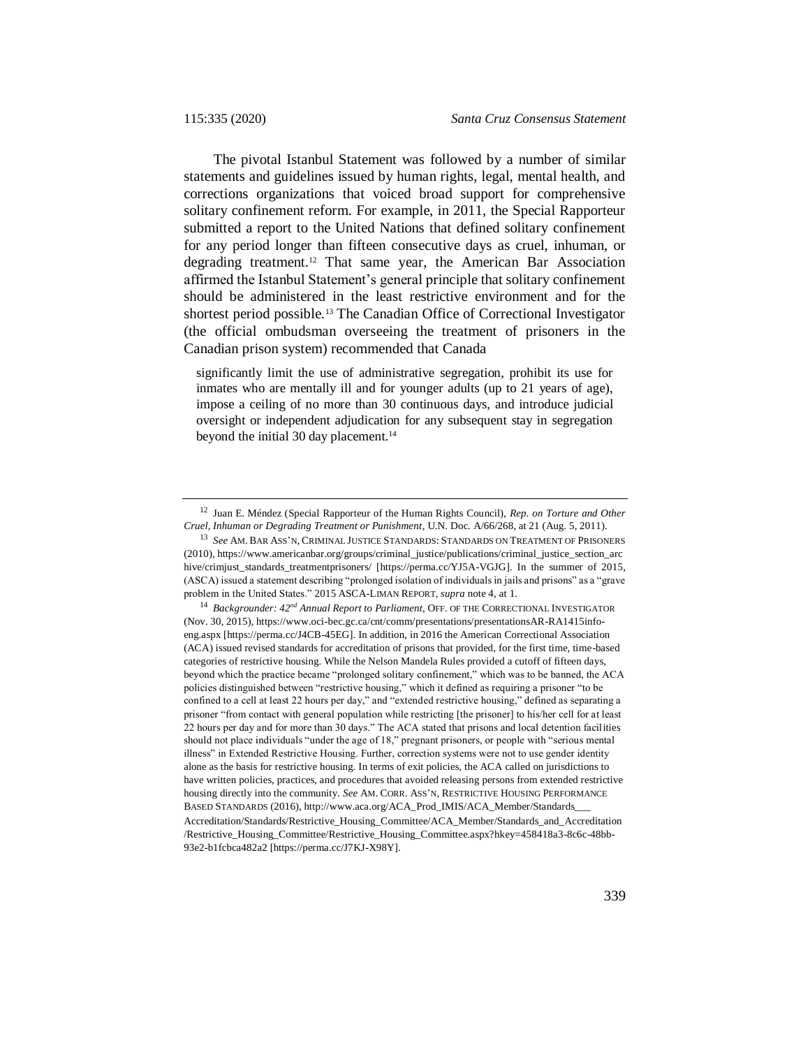The pivotal Istanbul Statement was followed by a number of similar statements and guidelines issued by human rights, legal, mental health, and corrections organizations that voiced broad support for comprehensive solitary confinement reform. For example, in 2011, the Special Rapporteur submitted a report to the United Nations that defined solitary confinement for any period longer than fifteen consecutive days as cruel, inhuman, or degrading treatment.<sup>12</sup> That same year, the American Bar Association affirmed the Istanbul Statement's general principle that solitary confinement should be administered in the least restrictive environment and for the shortest period possible.<sup>13</sup> The Canadian Office of Correctional Investigator (the official ombudsman overseeing the treatment of prisoners in the Canadian prison system) recommended that Canada

significantly limit the use of administrative segregation, prohibit its use for inmates who are mentally ill and for younger adults (up to 21 years of age), impose a ceiling of no more than 30 continuous days, and introduce judicial oversight or independent adjudication for any subsequent stay in segregation beyond the initial 30 day placement.<sup>14</sup>

<sup>12</sup> Juan E. Méndez (Special Rapporteur of the Human Rights Council), *Rep. on Torture and Other Cruel, Inhuman or Degrading Treatment or Punishment,* U.N. Doc. A/66/268, at 21 (Aug. 5, 2011).

<sup>13</sup> *See* AM. BAR ASS'N, CRIMINAL JUSTICE STANDARDS: STANDARDS ON TREATMENT OF PRISONERS (2010), https://www.americanbar.org/groups/criminal\_justice/publications/criminal\_justice\_section\_arc hive/crimjust\_standards\_treatmentprisoners/ [https://perma.cc/YJ5A-VGJG]. In the summer of 2015, (ASCA) issued a statement describing "prolonged isolation of individuals in jails and prisons" as a "grave problem in the United States." 2015 ASCA-LIMAN REPORT, *supra* not[e 4,](#page-1-0) at 1.

<sup>14</sup> *Backgrounder: 42nd Annual Report to Parliament*, OFF. OF THE CORRECTIONAL INVESTIGATOR (Nov. 30, 2015), https://www.oci-bec.gc.ca/cnt/comm/presentations/presentationsAR-RA1415infoeng.aspx [https://perma.cc/J4CB-45EG]. In addition, in 2016 the American Correctional Association (ACA) issued revised standards for accreditation of prisons that provided, for the first time, time-based categories of restrictive housing. While the Nelson Mandela Rules provided a cutoff of fifteen days, beyond which the practice became "prolonged solitary confinement," which was to be banned, the ACA policies distinguished between "restrictive housing," which it defined as requiring a prisoner "to be confined to a cell at least 22 hours per day," and "extended restrictive housing," defined as separating a prisoner "from contact with general population while restricting [the prisoner] to his/her cell for at least 22 hours per day and for more than 30 days." The ACA stated that prisons and local detention facilities should not place individuals "under the age of 18," pregnant prisoners, or people with "serious mental illness" in Extended Restrictive Housing. Further, correction systems were not to use gender identity alone as the basis for restrictive housing. In terms of exit policies, the ACA called on jurisdictions to have written policies, practices, and procedures that avoided releasing persons from extended restrictive housing directly into the community. *See* AM. CORR. ASS'N, RESTRICTIVE HOUSING PERFORMANCE BASED STANDARDS (2016), http://www.aca.org/ACA\_Prod\_IMIS/ACA\_Member/Standards\_\_\_ Accreditation/Standards/Restrictive\_Housing\_Committee/ACA\_Member/Standards\_and\_Accreditation /Restrictive\_Housing\_Committee/Restrictive\_Housing\_Committee.aspx?hkey=458418a3-8c6c-48bb-93e2-b1fcbca482a2 [https://perma.cc/J7KJ-X98Y].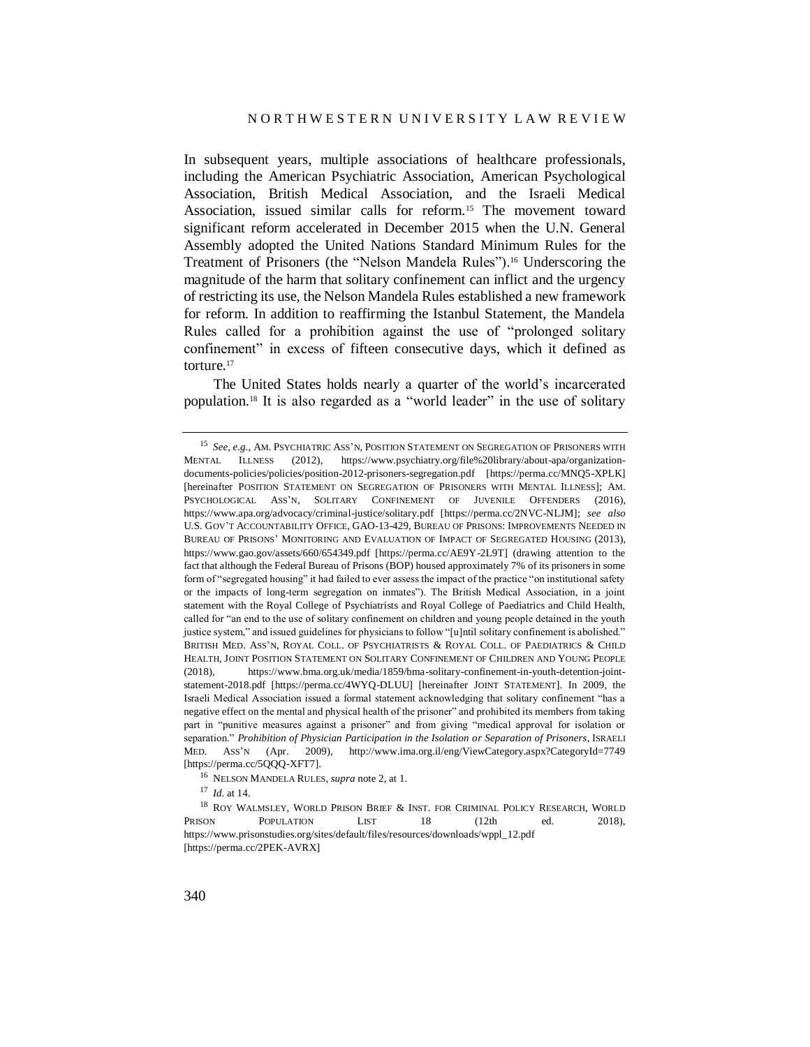<span id="page-5-0"></span>In subsequent years, multiple associations of healthcare professionals, including the American Psychiatric Association, American Psychological Association, British Medical Association, and the Israeli Medical Association, issued similar calls for reform.<sup>15</sup> The movement toward significant reform accelerated in December 2015 when the U.N. General Assembly adopted the United Nations Standard Minimum Rules for the Treatment of Prisoners (the "Nelson Mandela Rules").<sup>16</sup> Underscoring the magnitude of the harm that solitary confinement can inflict and the urgency of restricting its use, the Nelson Mandela Rules established a new framework for reform. In addition to reaffirming the Istanbul Statement, the Mandela Rules called for a prohibition against the use of "prolonged solitary confinement" in excess of fifteen consecutive days, which it defined as torture.<sup>17</sup>

The United States holds nearly a quarter of the world's incarcerated population.<sup>18</sup> It is also regarded as a "world leader" in the use of solitary

<sup>15</sup> *See, e.g.*, AM. PSYCHIATRIC ASS'N, POSITION STATEMENT ON SEGREGATION OF PRISONERS WITH MENTAL ILLNESS (2012), https://www.psychiatry.org/file%20library/about-apa/organizationdocuments-policies/policies/position-2012-prisoners-segregation.pdf [https://perma.cc/MNQ5-XPLK] [hereinafter POSITION STATEMENT ON SEGREGATION OF PRISONERS WITH MENTAL ILLNESS]; AM. PSYCHOLOGICAL ASS'N, SOLITARY CONFINEMENT OF JUVENILE OFFENDERS (2016), https://www.apa.org/advocacy/criminal-justice/solitary.pdf [https://perma.cc/2NVC-NLJM]; *see also* U.S. GOV'T ACCOUNTABILITY OFFICE, GAO-13-429, BUREAU OF PRISONS: IMPROVEMENTS NEEDED IN BUREAU OF PRISONS' MONITORING AND EVALUATION OF IMPACT OF SEGREGATED HOUSING (2013), https://www.gao.gov/assets/660/654349.pdf [https://perma.cc/AE9Y-2L9T] (drawing attention to the fact that although the Federal Bureau of Prisons (BOP) housed approximately 7% of its prisoners in some form of "segregated housing" it had failed to ever assess the impact of the practice "on institutional safety or the impacts of long-term segregation on inmates"). The British Medical Association, in a joint statement with the Royal College of Psychiatrists and Royal College of Paediatrics and Child Health, called for "an end to the use of solitary confinement on children and young people detained in the youth justice system," and issued guidelines for physicians to follow "[u]ntil solitary confinement is abolished." BRITISH MED. ASS'N, ROYAL COLL. OF PSYCHIATRISTS & ROYAL COLL. OF PAEDIATRICS & CHILD HEALTH, JOINT POSITION STATEMENT ON SOLITARY CONFINEMENT OF CHILDREN AND YOUNG PEOPLE (2018), https://www.bma.org.uk/media/1859/bma-solitary-confinement-in-youth-detention-jointstatement-2018.pdf [https://perma.cc/4WYQ-DLUU] [hereinafter JOINT STATEMENT]. In 2009, the Israeli Medical Association issued a formal statement acknowledging that solitary confinement "has a negative effect on the mental and physical health of the prisoner" and prohibited its members from taking part in "punitive measures against a prisoner" and from giving "medical approval for isolation or separation." *Prohibition of Physician Participation in the Isolation or Separation of Prisoners*, ISRAELI MED. ASS'N (Apr. 2009), http://www.ima.org.il/eng/ViewCategory.aspx?CategoryId=7749 [https://perma.cc/5QQQ-XFT7].

<sup>16</sup> NELSON MANDELA RULES, *supra* not[e 2,](#page-0-0) at 1.

<sup>17</sup> *Id.* at 14.

<sup>&</sup>lt;sup>18</sup> ROY WALMSLEY, WORLD PRISON BRIEF & INST. FOR CRIMINAL POLICY RESEARCH, WORLD PRISON POPULATION LIST 18 (12th ed. 2018), https://www.prisonstudies.org/sites/default/files/resources/downloads/wppl\_12.pdf [https://perma.cc/2PEK-AVRX]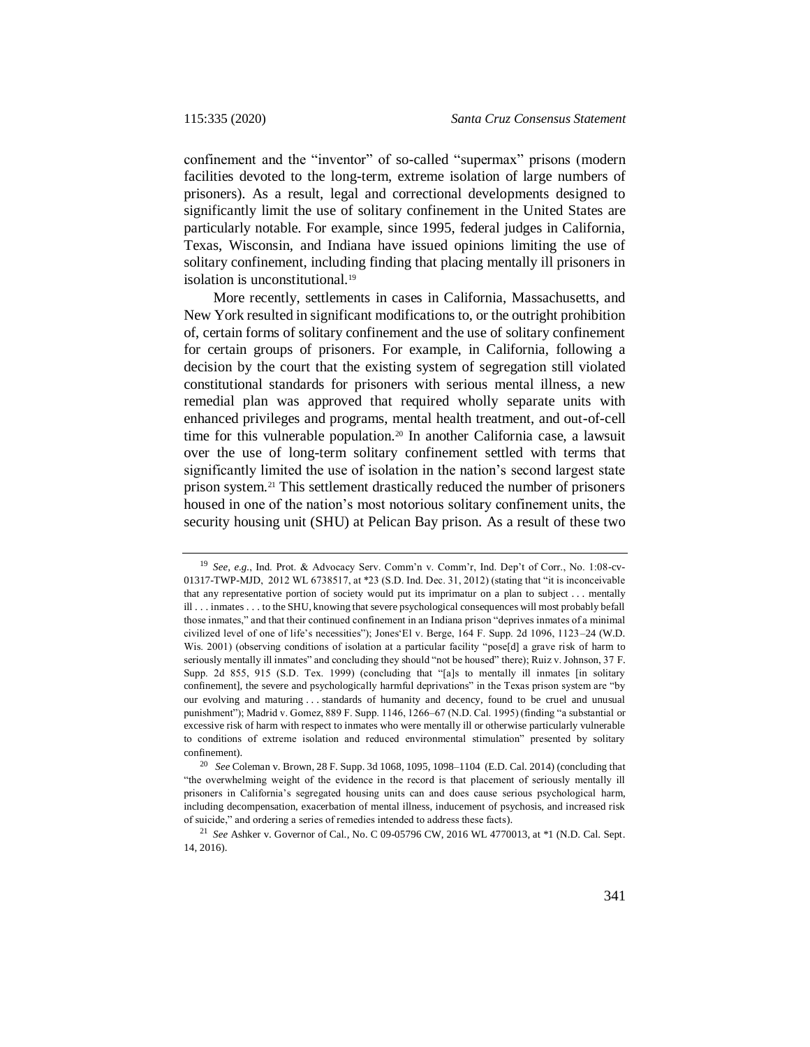confinement and the "inventor" of so-called "supermax" prisons (modern facilities devoted to the long-term, extreme isolation of large numbers of prisoners). As a result, legal and correctional developments designed to significantly limit the use of solitary confinement in the United States are particularly notable. For example, since 1995, federal judges in California, Texas, Wisconsin, and Indiana have issued opinions limiting the use of solitary confinement, including finding that placing mentally ill prisoners in isolation is unconstitutional.<sup>19</sup>

More recently, settlements in cases in California, Massachusetts, and New York resulted in significant modifications to, or the outright prohibition of, certain forms of solitary confinement and the use of solitary confinement for certain groups of prisoners. For example, in California, following a decision by the court that the existing system of segregation still violated constitutional standards for prisoners with serious mental illness, a new remedial plan was approved that required wholly separate units with enhanced privileges and programs, mental health treatment, and out-of-cell time for this vulnerable population.<sup>20</sup> In another California case, a lawsuit over the use of long-term solitary confinement settled with terms that significantly limited the use of isolation in the nation's second largest state prison system.<sup>21</sup> This settlement drastically reduced the number of prisoners housed in one of the nation's most notorious solitary confinement units, the security housing unit (SHU) at Pelican Bay prison. As a result of these two

<sup>19</sup> *See, e.g.*, Ind. Prot. & Advocacy Serv. Comm'n v. Comm'r, Ind. Dep't of Corr., No. 1:08-cv-01317-TWP-MJD, 2012 WL 6738517, at \*23 (S.D. Ind. Dec. 31, 2012) (stating that "it is inconceivable that any representative portion of society would put its imprimatur on a plan to subject . . . mentally ill . . . inmates . . . to the SHU, knowing that severe psychological consequences will most probably befall those inmates," and that their continued confinement in an Indiana prison "deprives inmates of a minimal civilized level of one of life's necessities"); Jones'El v. Berge, 164 F. Supp. 2d 1096, 1123–24 (W.D. Wis. 2001) (observing conditions of isolation at a particular facility "pose[d] a grave risk of harm to seriously mentally ill inmates" and concluding they should "not be housed" there); Ruiz v. Johnson, 37 F. Supp. 2d 855, 915 (S.D. Tex. 1999) (concluding that "[a]s to mentally ill inmates [in solitary confinement], the severe and psychologically harmful deprivations" in the Texas prison system are "by our evolving and maturing . . . standards of humanity and decency, found to be cruel and unusual punishment"); Madrid v. Gomez, 889 F. Supp. 1146, 1266–67 (N.D. Cal. 1995) (finding "a substantial or excessive risk of harm with respect to inmates who were mentally ill or otherwise particularly vulnerable to conditions of extreme isolation and reduced environmental stimulation" presented by solitary confinement).

<sup>20</sup> *See* Coleman v. Brown, 28 F. Supp. 3d 1068, 1095, 1098–1104 (E.D. Cal. 2014) (concluding that "the overwhelming weight of the evidence in the record is that placement of seriously mentally ill prisoners in California's segregated housing units can and does cause serious psychological harm, including decompensation, exacerbation of mental illness, inducement of psychosis, and increased risk of suicide," and ordering a series of remedies intended to address these facts).

<sup>21</sup> *See* Ashker v. Governor of Cal., No. C 09-05796 CW, 2016 WL 4770013, at \*1 (N.D. Cal. Sept. 14, 2016).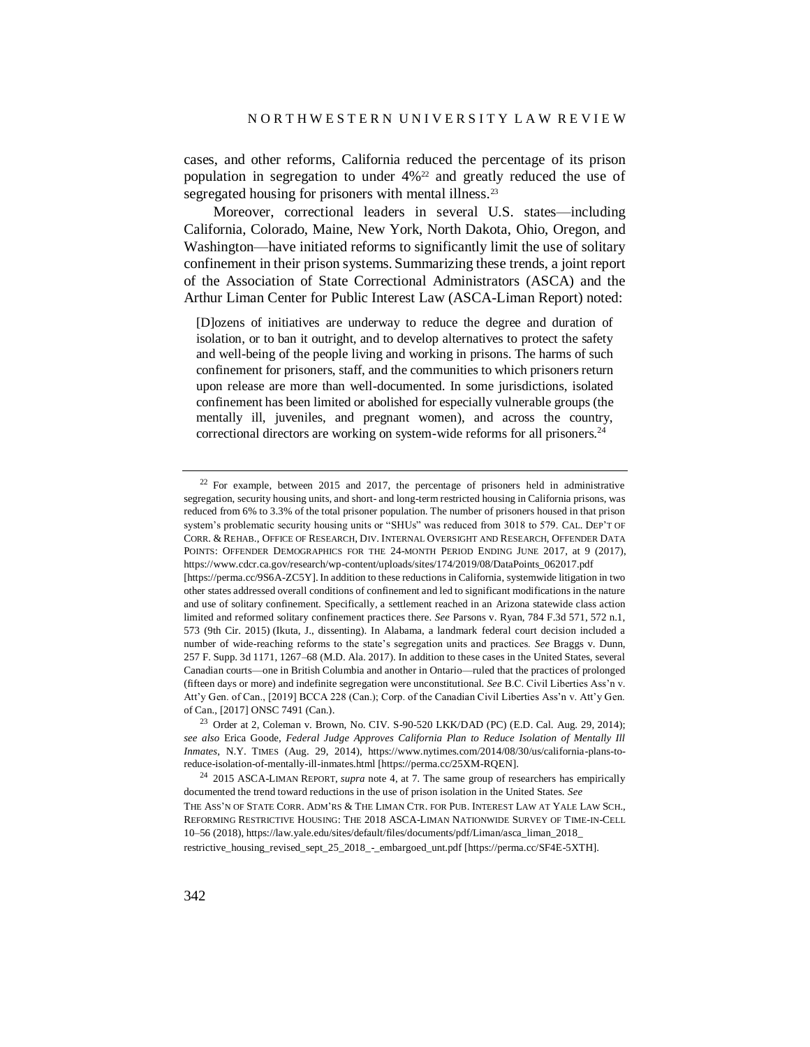cases, and other reforms, California reduced the percentage of its prison population in segregation to under  $4\frac{2}{2}$  and greatly reduced the use of segregated housing for prisoners with mental illness.<sup>23</sup>

Moreover, correctional leaders in several U.S. states—including California, Colorado, Maine, New York, North Dakota, Ohio, Oregon, and Washington—have initiated reforms to significantly limit the use of solitary confinement in their prison systems. Summarizing these trends, a joint report of the Association of State Correctional Administrators (ASCA) and the Arthur Liman Center for Public Interest Law (ASCA-Liman Report) noted:

[D]ozens of initiatives are underway to reduce the degree and duration of isolation, or to ban it outright, and to develop alternatives to protect the safety and well-being of the people living and working in prisons. The harms of such confinement for prisoners, staff, and the communities to which prisoners return upon release are more than well-documented. In some jurisdictions, isolated confinement has been limited or abolished for especially vulnerable groups (the mentally ill, juveniles, and pregnant women), and across the country, correctional directors are working on system-wide reforms for all prisoners.<sup>24</sup>

 $22$  For example, between 2015 and 2017, the percentage of prisoners held in administrative segregation, security housing units, and short- and long-term restricted housing in California prisons, was reduced from 6% to 3.3% of the total prisoner population. The number of prisoners housed in that prison system's problematic security housing units or "SHUs" was reduced from 3018 to 579. CAL. DEP'T OF CORR. & REHAB., OFFICE OF RESEARCH, DIV. INTERNAL OVERSIGHT AND RESEARCH, OFFENDER DATA POINTS: OFFENDER DEMOGRAPHICS FOR THE 24-MONTH PERIOD ENDING JUNE 2017, at 9 (2017), https://www.cdcr.ca.gov/research/wp-content/uploads/sites/174/2019/08/DataPoints\_062017.pdf [https://perma.cc/9S6A-ZC5Y]. In addition to these reductions in California, systemwide litigation in two other states addressed overall conditions of confinement and led to significant modifications in the nature and use of solitary confinement. Specifically, a settlement reached in an Arizona statewide class action limited and reformed solitary confinement practices there. *See* Parsons v. Ryan, 784 F.3d 571, 572 n.1, 573 (9th Cir. 2015) (Ikuta, J., dissenting). In Alabama, a landmark federal court decision included a number of wide-reaching reforms to the state's segregation units and practices. *See* Braggs v. Dunn, 257 F. Supp. 3d 1171, 1267–68 (M.D. Ala. 2017). In addition to these cases in the United States, several

Canadian courts—one in British Columbia and another in Ontario—ruled that the practices of prolonged (fifteen days or more) and indefinite segregation were unconstitutional. *See* B.C. Civil Liberties Ass'n v. Att'y Gen. of Can., [2019] BCCA 228 (Can.); Corp. of the Canadian Civil Liberties Ass'n v. Att'y Gen. of Can., [2017] ONSC 7491 (Can.).

<sup>23</sup> Order at 2, Coleman v. Brown, No. CIV. S-90-520 LKK/DAD (PC) (E.D. Cal. Aug. 29, 2014); *see also* Erica Goode, *Federal Judge Approves California Plan to Reduce Isolation of Mentally Ill Inmates*, N.Y. TIMES (Aug. 29, 2014), https://www.nytimes.com/2014/08/30/us/california-plans-toreduce-isolation-of-mentally-ill-inmates.html [https://perma.cc/25XM-RQEN].

<sup>24</sup> 2015 ASCA-LIMAN REPORT, *supra* note [4,](#page-1-0) at 7*.* The same group of researchers has empirically documented the trend toward reductions in the use of prison isolation in the United States. *See* THE ASS'N OF STATE CORR. ADM'RS & THE LIMAN CTR. FOR PUB. INTEREST LAW AT YALE LAW SCH., REFORMING RESTRICTIVE HOUSING: THE 2018 ASCA-LIMAN NATIONWIDE SURVEY OF TIME-IN-CELL 10–56 (2018), https://law.yale.edu/sites/default/files/documents/pdf/Liman/asca\_liman\_2018\_ restrictive\_housing\_revised\_sept\_25\_2018\_-\_embargoed\_unt.pdf [https://perma.cc/SF4E-5XTH].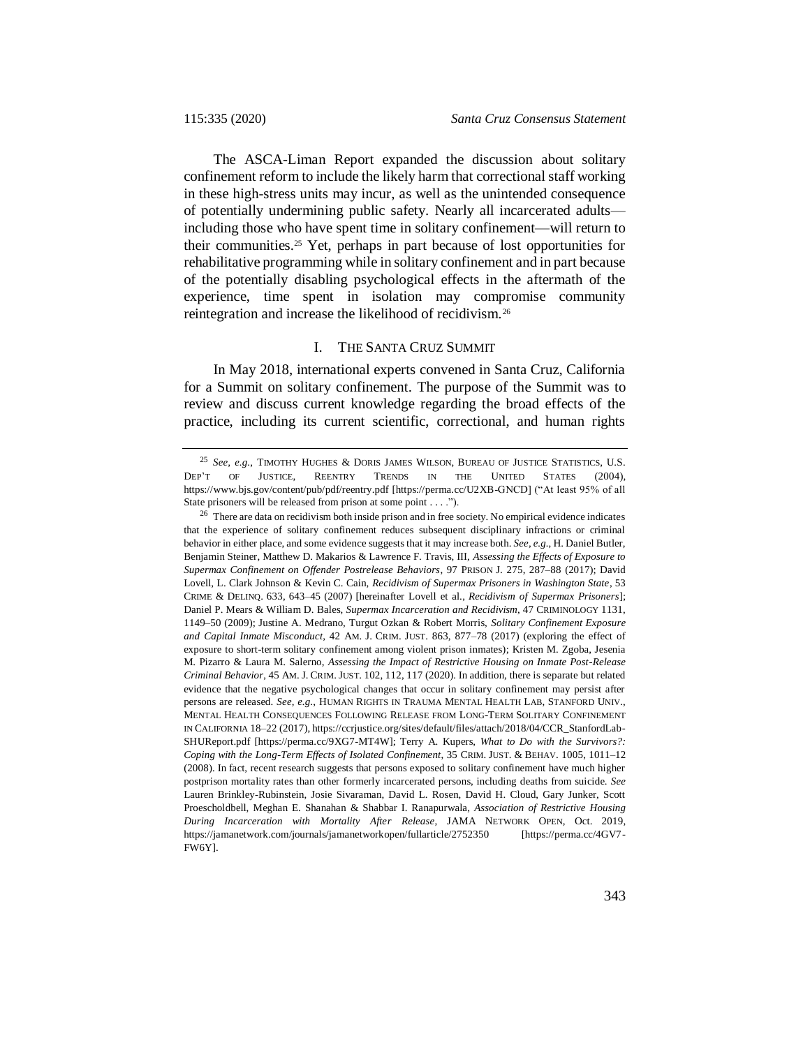The ASCA-Liman Report expanded the discussion about solitary confinement reform to include the likely harm that correctional staff working in these high-stress units may incur, as well as the unintended consequence of potentially undermining public safety. Nearly all incarcerated adults including those who have spent time in solitary confinement—will return to their communities.<sup>25</sup> Yet, perhaps in part because of lost opportunities for rehabilitative programming while in solitary confinement and in part because of the potentially disabling psychological effects in the aftermath of the experience, time spent in isolation may compromise community reintegration and increase the likelihood of recidivism.<sup>26</sup>

#### <span id="page-8-0"></span>I. THE SANTA CRUZ SUMMIT

In May 2018, international experts convened in Santa Cruz, California for a Summit on solitary confinement. The purpose of the Summit was to review and discuss current knowledge regarding the broad effects of the practice, including its current scientific, correctional, and human rights

<sup>25</sup> *See, e.g.*, TIMOTHY HUGHES & DORIS JAMES WILSON, BUREAU OF JUSTICE STATISTICS, U.S. DEP'T OF JUSTICE, REENTRY TRENDS IN THE UNITED STATES (2004), https://www.bjs.gov/content/pub/pdf/reentry.pdf [https://perma.cc/U2XB-GNCD] ("At least 95% of all State prisoners will be released from prison at some point . . . .").

<sup>&</sup>lt;sup>26</sup> There are data on recidivism both inside prison and in free society. No empirical evidence indicates that the experience of solitary confinement reduces subsequent disciplinary infractions or criminal behavior in either place, and some evidence suggests that it may increase both. *See, e.g.*, H. Daniel Butler, Benjamin Steiner, Matthew D. Makarios & Lawrence F. Travis, III, *Assessing the Effects of Exposure to Supermax Confinement on Offender Postrelease Behaviors*, 97 PRISON J. 275, 287–88 (2017); David Lovell, L. Clark Johnson & Kevin C. Cain, *Recidivism of Supermax Prisoners in Washington State*, 53 CRIME & DELINQ. 633, 643–45 (2007) [hereinafter Lovell et al., *Recidivism of Supermax Prisoners*]; Daniel P. Mears & William D. Bales, *Supermax Incarceration and Recidivism*, 47 CRIMINOLOGY 1131, 1149–50 (2009); Justine A. Medrano, Turgut Ozkan & Robert Morris, *Solitary Confinement Exposure and Capital Inmate Misconduct*, 42 AM. J. CRIM. JUST. 863, 877–78 (2017) (exploring the effect of exposure to short-term solitary confinement among violent prison inmates); Kristen M. Zgoba, Jesenia M. Pizarro & Laura M. Salerno, *Assessing the Impact of Restrictive Housing on Inmate Post-Release Criminal Behavior*, 45 AM. J. CRIM. JUST. 102, 112, 117 (2020). In addition, there is separate but related evidence that the negative psychological changes that occur in solitary confinement may persist after persons are released. *See, e.g.*, HUMAN RIGHTS IN TRAUMA MENTAL HEALTH LAB, STANFORD UNIV., MENTAL HEALTH CONSEQUENCES FOLLOWING RELEASE FROM LONG-TERM SOLITARY CONFINEMENT IN CALIFORNIA 18–22 (2017), https://ccrjustice.org/sites/default/files/attach/2018/04/CCR\_StanfordLab-SHUReport.pdf [https://perma.cc/9XG7-MT4W]; Terry A. Kupers, *What to Do with the Survivors?: Coping with the Long-Term Effects of Isolated Confinement*, 35 CRIM. JUST. & BEHAV. 1005, 1011–12 (2008). In fact, recent research suggests that persons exposed to solitary confinement have much higher postprison mortality rates than other formerly incarcerated persons, including deaths from suicide. *See* Lauren Brinkley-Rubinstein, Josie Sivaraman, David L. Rosen, David H. Cloud, Gary Junker, Scott Proescholdbell, Meghan E. Shanahan & Shabbar I. Ranapurwala, *Association of Restrictive Housing During Incarceration with Mortality After Release*, JAMA NETWORK OPEN, Oct. 2019, https://jamanetwork.com/journals/jamanetworkopen/fullarticle/2752350 [https://perma.cc/4GV7- FW6Y].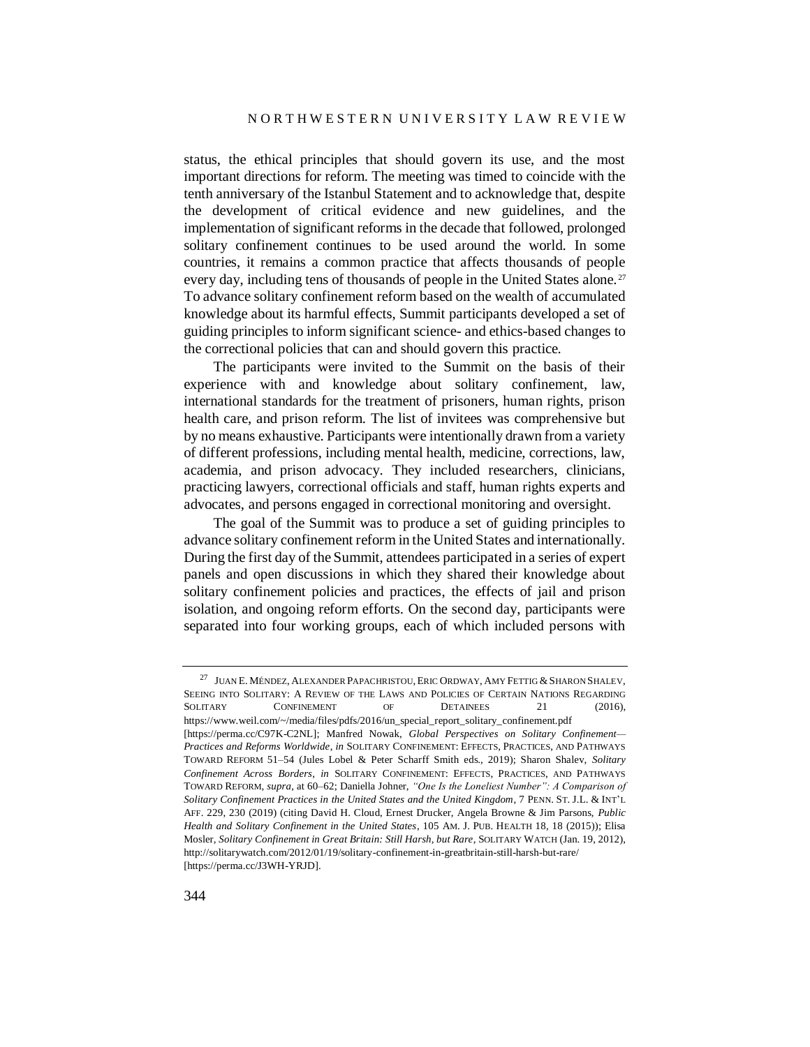status, the ethical principles that should govern its use, and the most important directions for reform. The meeting was timed to coincide with the tenth anniversary of the Istanbul Statement and to acknowledge that, despite the development of critical evidence and new guidelines, and the implementation of significant reforms in the decade that followed, prolonged solitary confinement continues to be used around the world. In some countries, it remains a common practice that affects thousands of people every day, including tens of thousands of people in the United States alone.<sup>27</sup> To advance solitary confinement reform based on the wealth of accumulated knowledge about its harmful effects, Summit participants developed a set of guiding principles to inform significant science- and ethics-based changes to the correctional policies that can and should govern this practice.

The participants were invited to the Summit on the basis of their experience with and knowledge about solitary confinement, law, international standards for the treatment of prisoners, human rights, prison health care, and prison reform. The list of invitees was comprehensive but by no means exhaustive. Participants were intentionally drawn from a variety of different professions, including mental health, medicine, corrections, law, academia, and prison advocacy. They included researchers, clinicians, practicing lawyers, correctional officials and staff, human rights experts and advocates, and persons engaged in correctional monitoring and oversight.

The goal of the Summit was to produce a set of guiding principles to advance solitary confinement reform in the United States and internationally. During the first day of the Summit, attendees participated in a series of expert panels and open discussions in which they shared their knowledge about solitary confinement policies and practices, the effects of jail and prison isolation, and ongoing reform efforts. On the second day, participants were separated into four working groups, each of which included persons with

<sup>&</sup>lt;sup>27</sup> JUAN E. MÉNDEZ, ALEXANDER PAPACHRISTOU, ERIC ORDWAY, AMY FETTIG & SHARON SHALEV, SEEING INTO SOLITARY: A REVIEW OF THE LAWS AND POLICIES OF CERTAIN NATIONS REGARDING SOLITARY CONFINEMENT OF DETAINEES 21 (2016), https://www.weil.com/~/media/files/pdfs/2016/un\_special\_report\_solitary\_confinement.pdf [https://perma.cc/C97K-C2NL]; Manfred Nowak, *Global Perspectives on Solitary Confinement— Practices and Reforms Worldwide*, *in* SOLITARY CONFINEMENT: EFFECTS, PRACTICES, AND PATHWAYS TOWARD REFORM 51–54 (Jules Lobel & Peter Scharff Smith eds., 2019); Sharon Shalev, *Solitary Confinement Across Borders*, *in* SOLITARY CONFINEMENT: EFFECTS, PRACTICES, AND PATHWAYS TOWARD REFORM, *supra*, at 60–62; Daniella Johner, *"One Is the Loneliest Number": A Comparison of Solitary Confinement Practices in the United States and the United Kingdom*, 7 PENN. ST. J.L. & INT'L AFF. 229, 230 (2019) (citing David H. Cloud, Ernest Drucker, Angela Browne & Jim Parsons, *Public Health and Solitary Confinement in the United States*, 105 AM. J. PUB. HEALTH 18, 18 (2015)); Elisa Mosler, *Solitary Confinement in Great Britain: Still Harsh, but Rare*, SOLITARY WATCH (Jan. 19, 2012), http://solitarywatch.com/2012/01/19/solitary-confinement-in-greatbritain-still-harsh-but-rare/ [https://perma.cc/J3WH-YRJD].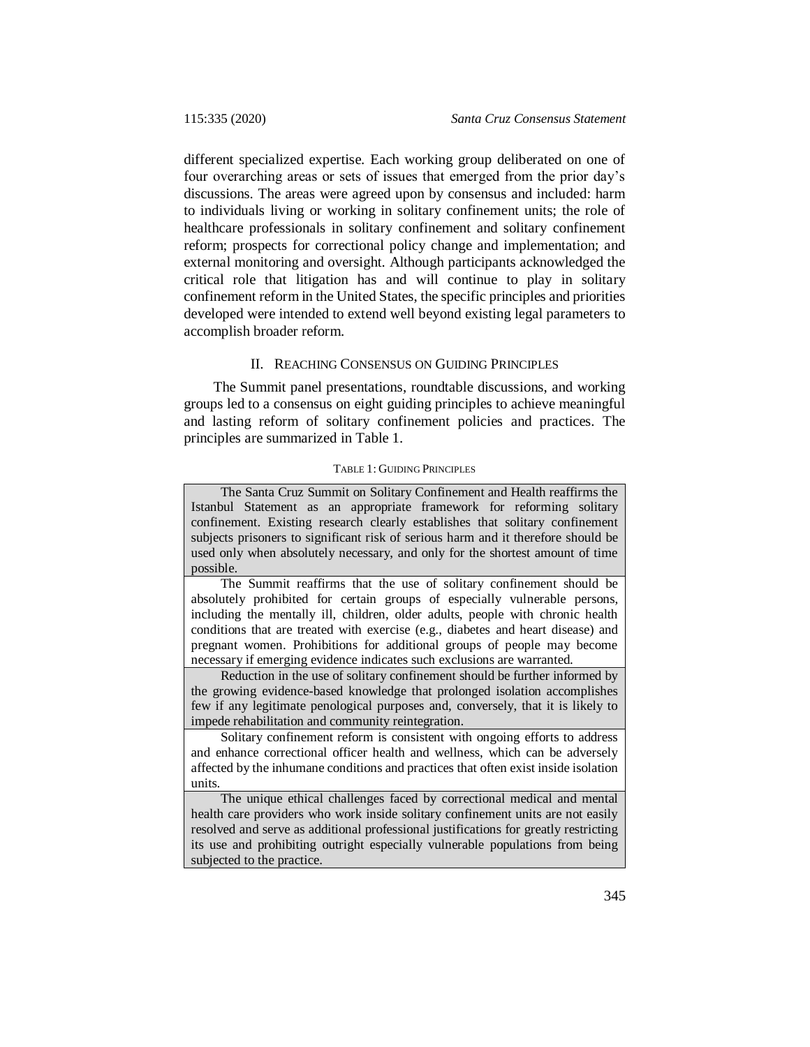different specialized expertise. Each working group deliberated on one of four overarching areas or sets of issues that emerged from the prior day's discussions. The areas were agreed upon by consensus and included: harm to individuals living or working in solitary confinement units; the role of healthcare professionals in solitary confinement and solitary confinement reform; prospects for correctional policy change and implementation; and external monitoring and oversight. Although participants acknowledged the critical role that litigation has and will continue to play in solitary confinement reform in the United States, the specific principles and priorities developed were intended to extend well beyond existing legal parameters to accomplish broader reform.

## II. REACHING CONSENSUS ON GUIDING PRINCIPLES

The Summit panel presentations, roundtable discussions, and working groups led to a consensus on eight guiding principles to achieve meaningful and lasting reform of solitary confinement policies and practices. The principles are summarized in Table 1.

#### TABLE 1: GUIDING PRINCIPLES

The Santa Cruz Summit on Solitary Confinement and Health reaffirms the Istanbul Statement as an appropriate framework for reforming solitary confinement. Existing research clearly establishes that solitary confinement subjects prisoners to significant risk of serious harm and it therefore should be used only when absolutely necessary, and only for the shortest amount of time possible.

The Summit reaffirms that the use of solitary confinement should be absolutely prohibited for certain groups of especially vulnerable persons, including the mentally ill, children, older adults, people with chronic health conditions that are treated with exercise (e.g., diabetes and heart disease) and pregnant women. Prohibitions for additional groups of people may become necessary if emerging evidence indicates such exclusions are warranted.

Reduction in the use of solitary confinement should be further informed by the growing evidence-based knowledge that prolonged isolation accomplishes few if any legitimate penological purposes and, conversely, that it is likely to impede rehabilitation and community reintegration.

Solitary confinement reform is consistent with ongoing efforts to address and enhance correctional officer health and wellness, which can be adversely affected by the inhumane conditions and practices that often exist inside isolation units.

The unique ethical challenges faced by correctional medical and mental health care providers who work inside solitary confinement units are not easily resolved and serve as additional professional justifications for greatly restricting its use and prohibiting outright especially vulnerable populations from being subjected to the practice.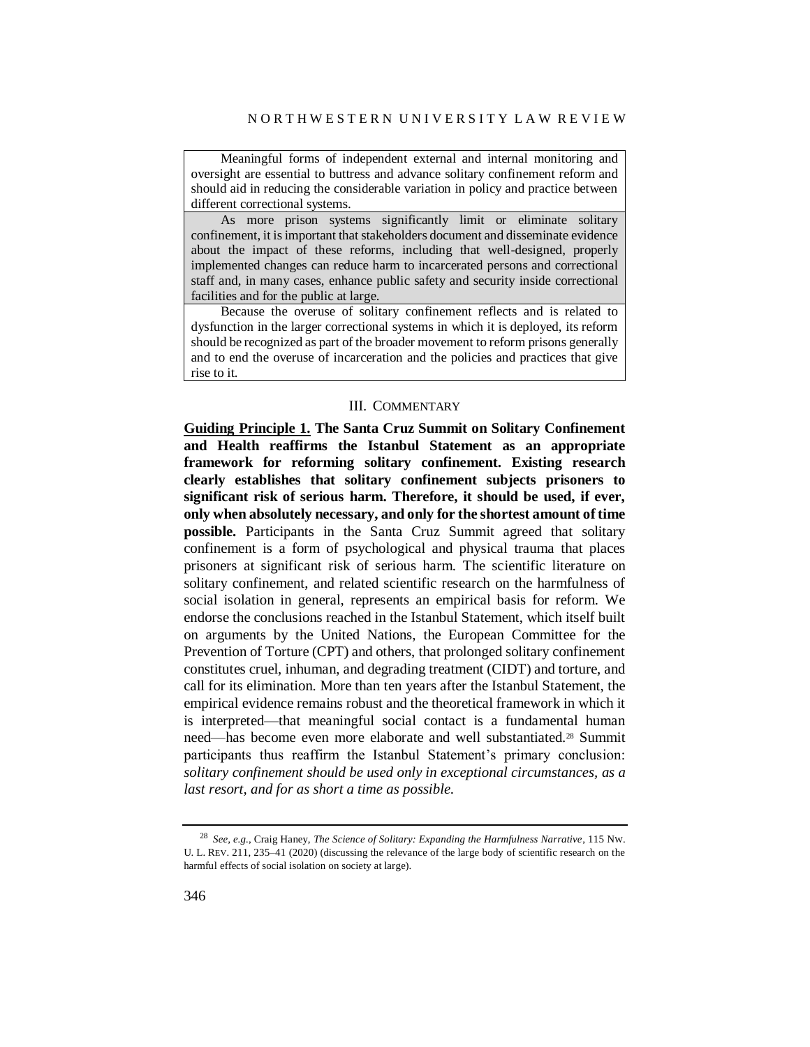Meaningful forms of independent external and internal monitoring and oversight are essential to buttress and advance solitary confinement reform and should aid in reducing the considerable variation in policy and practice between different correctional systems.

As more prison systems significantly limit or eliminate solitary confinement, it is important that stakeholders document and disseminate evidence about the impact of these reforms, including that well-designed, properly implemented changes can reduce harm to incarcerated persons and correctional staff and, in many cases, enhance public safety and security inside correctional facilities and for the public at large.

Because the overuse of solitary confinement reflects and is related to dysfunction in the larger correctional systems in which it is deployed, its reform should be recognized as part of the broader movement to reform prisons generally and to end the overuse of incarceration and the policies and practices that give rise to it.

#### III. COMMENTARY

**Guiding Principle 1. The Santa Cruz Summit on Solitary Confinement and Health reaffirms the Istanbul Statement as an appropriate framework for reforming solitary confinement. Existing research clearly establishes that solitary confinement subjects prisoners to significant risk of serious harm. Therefore, it should be used, if ever, only when absolutely necessary, and only for the shortest amount of time possible.** Participants in the Santa Cruz Summit agreed that solitary confinement is a form of psychological and physical trauma that places prisoners at significant risk of serious harm. The scientific literature on solitary confinement, and related scientific research on the harmfulness of social isolation in general, represents an empirical basis for reform. We endorse the conclusions reached in the Istanbul Statement, which itself built on arguments by the United Nations, the European Committee for the Prevention of Torture (CPT) and others, that prolonged solitary confinement constitutes cruel, inhuman, and degrading treatment (CIDT) and torture, and call for its elimination. More than ten years after the Istanbul Statement, the empirical evidence remains robust and the theoretical framework in which it is interpreted—that meaningful social contact is a fundamental human need—has become even more elaborate and well substantiated.<sup>28</sup> Summit participants thus reaffirm the Istanbul Statement's primary conclusion: *solitary confinement should be used only in exceptional circumstances, as a last resort, and for as short a time as possible.*

<sup>28</sup> *See, e.g.*, Craig Haney, *The Science of Solitary: Expanding the Harmfulness Narrative*, 115 NW. U. L. REV. 211, 235–41 (2020) (discussing the relevance of the large body of scientific research on the harmful effects of social isolation on society at large).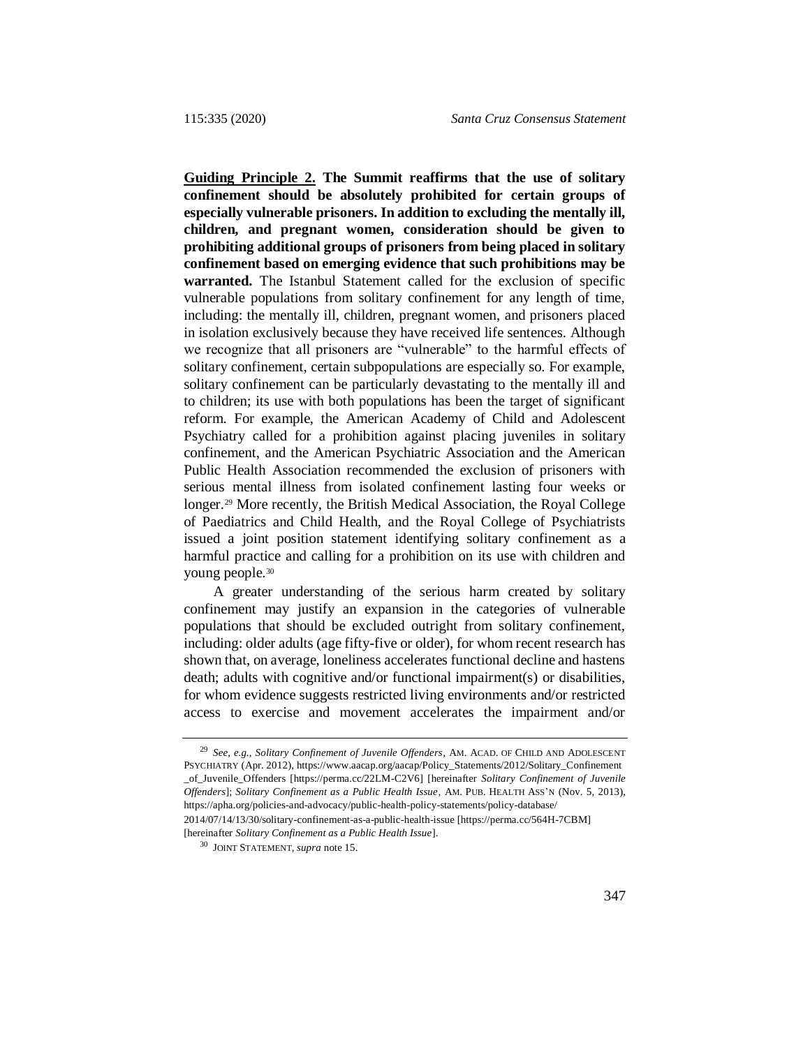**Guiding Principle 2. The Summit reaffirms that the use of solitary confinement should be absolutely prohibited for certain groups of especially vulnerable prisoners. In addition to excluding the mentally ill, children, and pregnant women, consideration should be given to prohibiting additional groups of prisoners from being placed in solitary confinement based on emerging evidence that such prohibitions may be warranted.** The Istanbul Statement called for the exclusion of specific vulnerable populations from solitary confinement for any length of time, including: the mentally ill, children, pregnant women, and prisoners placed in isolation exclusively because they have received life sentences. Although we recognize that all prisoners are "vulnerable" to the harmful effects of solitary confinement, certain subpopulations are especially so. For example, solitary confinement can be particularly devastating to the mentally ill and to children; its use with both populations has been the target of significant reform. For example, the American Academy of Child and Adolescent Psychiatry called for a prohibition against placing juveniles in solitary confinement, and the American Psychiatric Association and the American Public Health Association recommended the exclusion of prisoners with serious mental illness from isolated confinement lasting four weeks or longer.<sup>29</sup> More recently, the British Medical Association, the Royal College of Paediatrics and Child Health, and the Royal College of Psychiatrists issued a joint position statement identifying solitary confinement as a harmful practice and calling for a prohibition on its use with children and young people.<sup>30</sup>

<span id="page-12-1"></span><span id="page-12-0"></span>A greater understanding of the serious harm created by solitary confinement may justify an expansion in the categories of vulnerable populations that should be excluded outright from solitary confinement, including: older adults (age fifty-five or older), for whom recent research has shown that, on average, loneliness accelerates functional decline and hastens death; adults with cognitive and/or functional impairment(s) or disabilities, for whom evidence suggests restricted living environments and/or restricted access to exercise and movement accelerates the impairment and/or

[hereinafter *Solitary Confinement as a Public Health Issue*].

<sup>29</sup> *See, e.g.*, *Solitary Confinement of Juvenile Offenders*, AM. ACAD. OF CHILD AND ADOLESCENT PSYCHIATRY (Apr. 2012), https://www.aacap.org/aacap/Policy\_Statements/2012/Solitary\_Confinement \_of\_Juvenile\_Offenders [https://perma.cc/22LM-C2V6] [hereinafter *Solitary Confinement of Juvenile Offenders*]; *Solitary Confinement as a Public Health Issue*, AM. PUB. HEALTH ASS'N (Nov. 5, 2013), https://apha.org/policies-and-advocacy/public-health-policy-statements/policy-database/ 2014/07/14/13/30/solitary-confinement-as-a-public-health-issue [https://perma.cc/564H-7CBM]

<sup>30</sup> JOINT STATEMENT, *supra* note [15.](#page-5-0)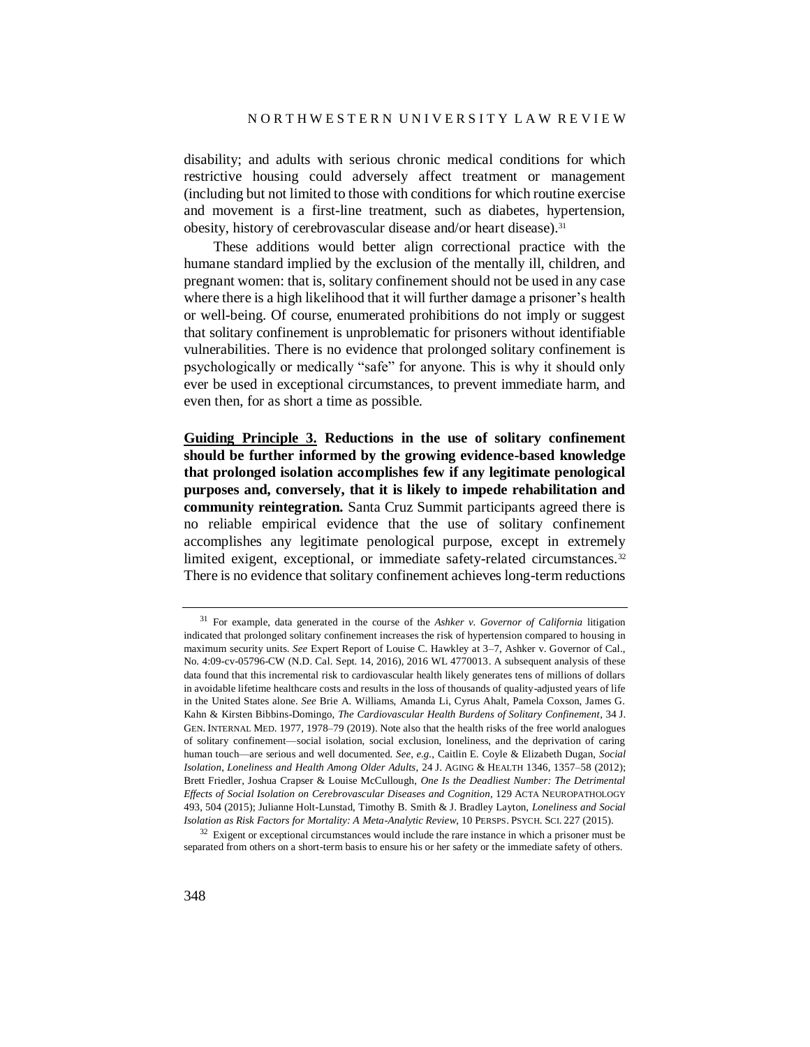disability; and adults with serious chronic medical conditions for which restrictive housing could adversely affect treatment or management (including but not limited to those with conditions for which routine exercise and movement is a first-line treatment, such as diabetes, hypertension, obesity, history of cerebrovascular disease and/or heart disease).<sup>31</sup>

These additions would better align correctional practice with the humane standard implied by the exclusion of the mentally ill, children, and pregnant women: that is, solitary confinement should not be used in any case where there is a high likelihood that it will further damage a prisoner's health or well-being. Of course, enumerated prohibitions do not imply or suggest that solitary confinement is unproblematic for prisoners without identifiable vulnerabilities. There is no evidence that prolonged solitary confinement is psychologically or medically "safe" for anyone. This is why it should only ever be used in exceptional circumstances, to prevent immediate harm, and even then, for as short a time as possible.

**Guiding Principle 3. Reductions in the use of solitary confinement should be further informed by the growing evidence-based knowledge that prolonged isolation accomplishes few if any legitimate penological purposes and, conversely, that it is likely to impede rehabilitation and community reintegration.** Santa Cruz Summit participants agreed there is no reliable empirical evidence that the use of solitary confinement accomplishes any legitimate penological purpose, except in extremely limited exigent, exceptional, or immediate safety-related circumstances.<sup>32</sup> There is no evidence that solitary confinement achieves long-term reductions

<sup>31</sup> For example, data generated in the course of the *Ashker v. Governor of California* litigation indicated that prolonged solitary confinement increases the risk of hypertension compared to housing in maximum security units. *See* Expert Report of Louise C. Hawkley at 3–7, Ashker v. Governor of Cal., No. 4:09-cv-05796-CW (N.D. Cal. Sept. 14, 2016), 2016 WL 4770013. A subsequent analysis of these data found that this incremental risk to cardiovascular health likely generates tens of millions of dollars in avoidable lifetime healthcare costs and results in the loss of thousands of quality-adjusted years of life in the United States alone. *See* Brie A. Williams, Amanda Li, Cyrus Ahalt, Pamela Coxson, James G. Kahn & Kirsten Bibbins-Domingo, *The Cardiovascular Health Burdens of Solitary Confinement*, 34 J. GEN. INTERNAL MED. 1977, 1978–79 (2019). Note also that the health risks of the free world analogues of solitary confinement—social isolation, social exclusion, loneliness, and the deprivation of caring human touch—are serious and well documented. *See, e.g.*, Caitlin E. Coyle & Elizabeth Dugan, *Social Isolation, Loneliness and Health Among Older Adults*, 24 J. AGING & HEALTH 1346, 1357–58 (2012); Brett Friedler, Joshua Crapser & Louise McCullough, *One Is the Deadliest Number: The Detrimental Effects of Social Isolation on Cerebrovascular Diseases and Cognition*, 129 ACTA NEUROPATHOLOGY 493, 504 (2015); Julianne Holt-Lunstad, Timothy B. Smith & J. Bradley Layton, *Loneliness and Social Isolation as Risk Factors for Mortality: A Meta-Analytic Review*, 10 PERSPS. PSYCH. SCI. 227 (2015).

<sup>&</sup>lt;sup>32</sup> Exigent or exceptional circumstances would include the rare instance in which a prisoner must be separated from others on a short-term basis to ensure his or her safety or the immediate safety of others.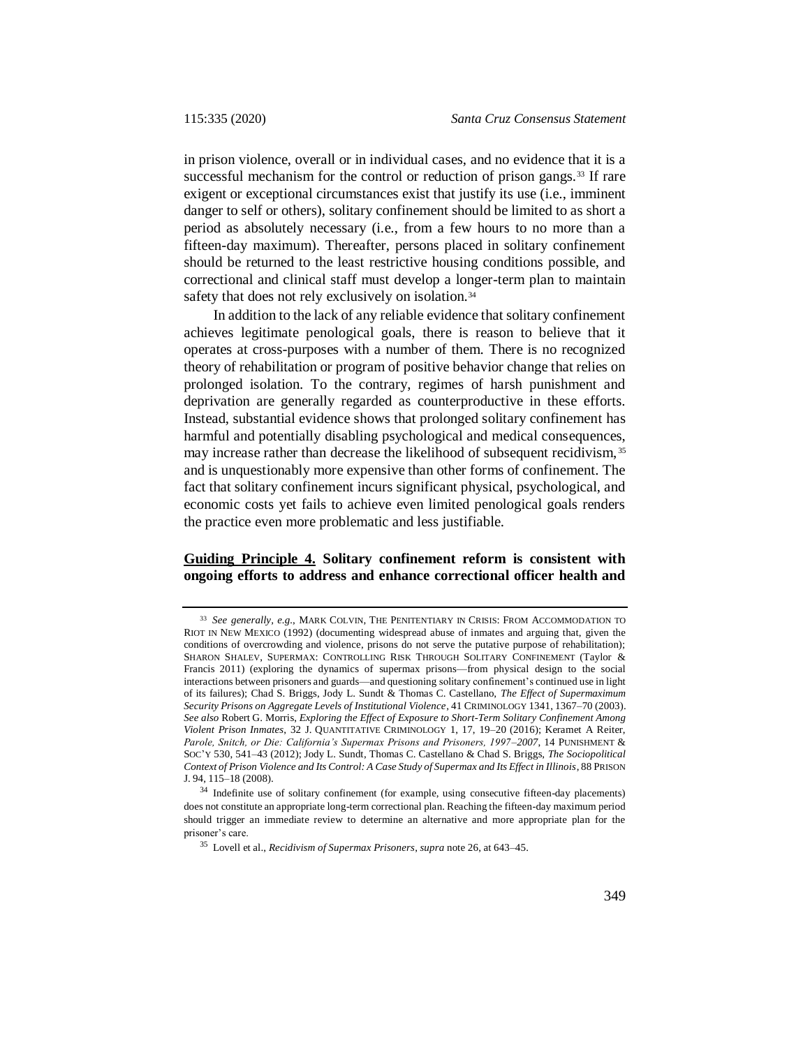in prison violence, overall or in individual cases, and no evidence that it is a successful mechanism for the control or reduction of prison gangs.<sup>33</sup> If rare exigent or exceptional circumstances exist that justify its use (i.e., imminent danger to self or others), solitary confinement should be limited to as short a period as absolutely necessary (i.e., from a few hours to no more than a fifteen-day maximum). Thereafter, persons placed in solitary confinement should be returned to the least restrictive housing conditions possible, and correctional and clinical staff must develop a longer-term plan to maintain safety that does not rely exclusively on isolation.<sup>34</sup>

In addition to the lack of any reliable evidence that solitary confinement achieves legitimate penological goals, there is reason to believe that it operates at cross-purposes with a number of them. There is no recognized theory of rehabilitation or program of positive behavior change that relies on prolonged isolation. To the contrary, regimes of harsh punishment and deprivation are generally regarded as counterproductive in these efforts. Instead, substantial evidence shows that prolonged solitary confinement has harmful and potentially disabling psychological and medical consequences, may increase rather than decrease the likelihood of subsequent recidivism, <sup>35</sup> and is unquestionably more expensive than other forms of confinement. The fact that solitary confinement incurs significant physical, psychological, and economic costs yet fails to achieve even limited penological goals renders the practice even more problematic and less justifiable.

## **Guiding Principle 4. Solitary confinement reform is consistent with ongoing efforts to address and enhance correctional officer health and**

<sup>33</sup> *See generally, e.g.*, MARK COLVIN, THE PENITENTIARY IN CRISIS: FROM ACCOMMODATION TO RIOT IN NEW MEXICO (1992) (documenting widespread abuse of inmates and arguing that, given the conditions of overcrowding and violence, prisons do not serve the putative purpose of rehabilitation); SHARON SHALEV, SUPERMAX: CONTROLLING RISK THROUGH SOLITARY CONFINEMENT (Taylor & Francis 2011) (exploring the dynamics of supermax prisons—from physical design to the social interactions between prisoners and guards—and questioning solitary confinement's continued use in light of its failures); Chad S. Briggs, Jody L. Sundt & Thomas C. Castellano, *The Effect of Supermaximum Security Prisons on Aggregate Levels of Institutional Violence*, 41 CRIMINOLOGY 1341, 1367–70 (2003). *See also* Robert G. Morris, *Exploring the Effect of Exposure to Short-Term Solitary Confinement Among Violent Prison Inmates*, 32 J. QUANTITATIVE CRIMINOLOGY 1, 17, 19–20 (2016); Keramet A Reiter, *Parole, Snitch, or Die: California's Supermax Prisons and Prisoners, 1997–2007*, 14 PUNISHMENT & SOC'Y 530, 541–43 (2012); Jody L. Sundt, Thomas C. Castellano & Chad S. Briggs, *The Sociopolitical Context of Prison Violence and Its Control: A Case Study of Supermax and Its Effect in Illinois*, 88 PRISON J. 94, 115–18 (2008).

<sup>34</sup> Indefinite use of solitary confinement (for example, using consecutive fifteen-day placements) does not constitute an appropriate long-term correctional plan. Reaching the fifteen-day maximum period should trigger an immediate review to determine an alternative and more appropriate plan for the prisoner's care.

<sup>35</sup> Lovell et al., *Recidivism of Supermax Prisoners*, *supra* note [26,](#page-8-0) at 643–45.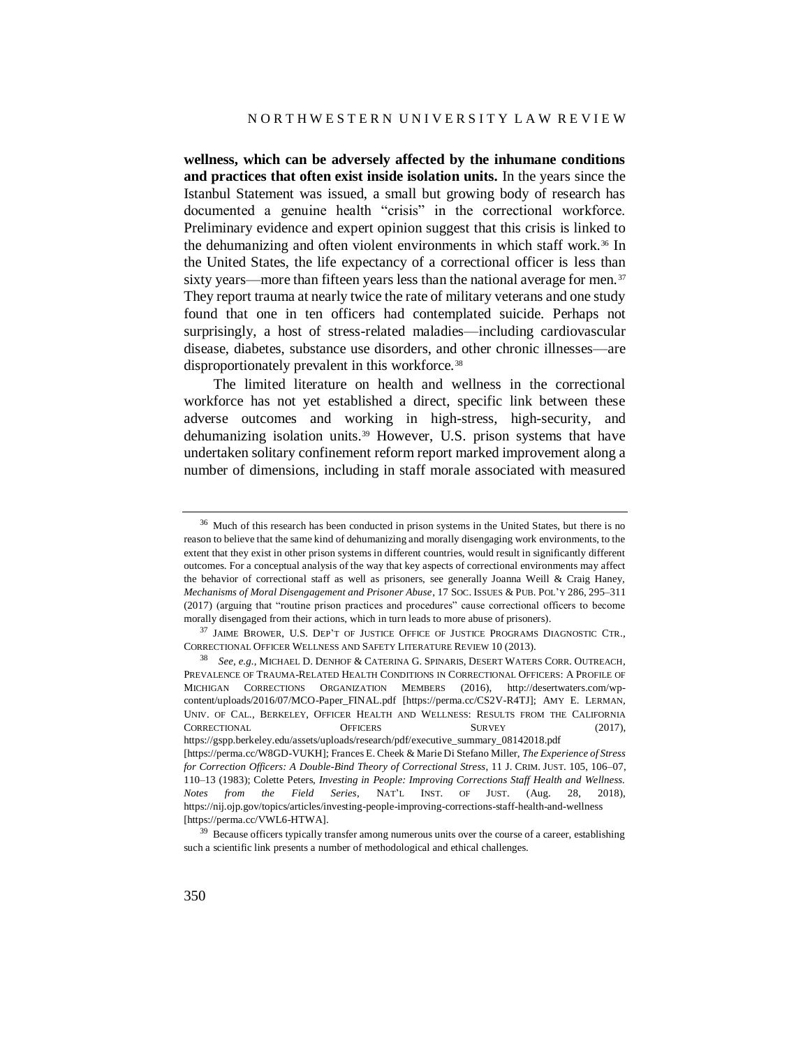**wellness, which can be adversely affected by the inhumane conditions and practices that often exist inside isolation units.** In the years since the Istanbul Statement was issued, a small but growing body of research has documented a genuine health "crisis" in the correctional workforce. Preliminary evidence and expert opinion suggest that this crisis is linked to the dehumanizing and often violent environments in which staff work.<sup>36</sup> In the United States, the life expectancy of a correctional officer is less than sixty years—more than fifteen years less than the national average for men.<sup>37</sup> They report trauma at nearly twice the rate of military veterans and one study found that one in ten officers had contemplated suicide. Perhaps not surprisingly, a host of stress-related maladies—including cardiovascular disease, diabetes, substance use disorders, and other chronic illnesses—are disproportionately prevalent in this workforce.<sup>38</sup>

The limited literature on health and wellness in the correctional workforce has not yet established a direct, specific link between these adverse outcomes and working in high-stress, high-security, and dehumanizing isolation units.<sup>39</sup> However, U.S. prison systems that have undertaken solitary confinement reform report marked improvement along a number of dimensions, including in staff morale associated with measured

<sup>&</sup>lt;sup>36</sup> Much of this research has been conducted in prison systems in the United States, but there is no reason to believe that the same kind of dehumanizing and morally disengaging work environments, to the extent that they exist in other prison systems in different countries, would result in significantly different outcomes. For a conceptual analysis of the way that key aspects of correctional environments may affect the behavior of correctional staff as well as prisoners, see generally Joanna Weill & Craig Haney, *Mechanisms of Moral Disengagement and Prisoner Abuse*, 17 SOC. ISSUES & PUB. POL'Y 286, 295–311 (2017) (arguing that "routine prison practices and procedures" cause correctional officers to become morally disengaged from their actions, which in turn leads to more abuse of prisoners).

<sup>37</sup> JAIME BROWER, U.S. DEP'T OF JUSTICE OFFICE OF JUSTICE PROGRAMS DIAGNOSTIC CTR., CORRECTIONAL OFFICER WELLNESS AND SAFETY LITERATURE REVIEW 10 (2013).

<sup>38</sup> *See, e.g.*, MICHAEL D. DENHOF & CATERINA G. SPINARIS, DESERT WATERS CORR. OUTREACH, PREVALENCE OF TRAUMA-RELATED HEALTH CONDITIONS IN CORRECTIONAL OFFICERS: A PROFILE OF MICHIGAN CORRECTIONS ORGANIZATION MEMBERS (2016), http://desertwaters.com/wpcontent/uploads/2016/07/MCO-Paper\_FINAL.pdf [https://perma.cc/CS2V-R4TJ]; AMY E. LERMAN, UNIV. OF CAL., BERKELEY, OFFICER HEALTH AND WELLNESS: RESULTS FROM THE CALIFORNIA CORRECTIONAL OFFICERS SURVEY (2017), https://gspp.berkeley.edu/assets/uploads/research/pdf/executive\_summary\_08142018.pdf [https://perma.cc/W8GD-VUKH]; Frances E. Cheek & Marie Di Stefano Miller, *The Experience of Stress for Correction Officers: A Double-Bind Theory of Correctional Stress*, 11 J. CRIM. JUST. 105, 106–07, 110–13 (1983); Colette Peters, *Investing in People: Improving Corrections Staff Health and Wellness. Notes from the Field Series*, NAT'L INST. OF JUST. (Aug. 28, 2018), https://nij.ojp.gov/topics/articles/investing-people-improving-corrections-staff-health-and-wellness [https://perma.cc/VWL6-HTWA].

<sup>&</sup>lt;sup>39</sup> Because officers typically transfer among numerous units over the course of a career, establishing such a scientific link presents a number of methodological and ethical challenges.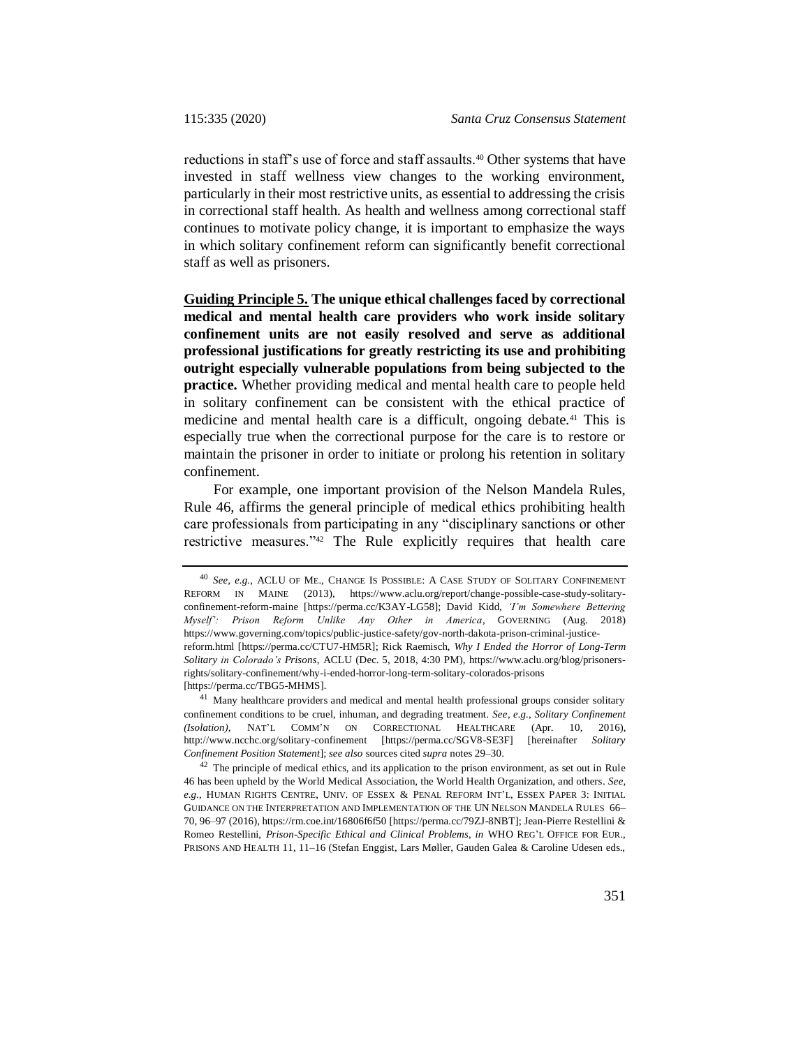reductions in staff's use of force and staff assaults.<sup>40</sup> Other systems that have invested in staff wellness view changes to the working environment, particularly in their most restrictive units, as essential to addressing the crisis in correctional staff health. As health and wellness among correctional staff continues to motivate policy change, it is important to emphasize the ways in which solitary confinement reform can significantly benefit correctional staff as well as prisoners.

**Guiding Principle 5. The unique ethical challenges faced by correctional medical and mental health care providers who work inside solitary confinement units are not easily resolved and serve as additional professional justifications for greatly restricting its use and prohibiting outright especially vulnerable populations from being subjected to the practice.** Whether providing medical and mental health care to people held in solitary confinement can be consistent with the ethical practice of medicine and mental health care is a difficult, ongoing debate.<sup>41</sup> This is especially true when the correctional purpose for the care is to restore or maintain the prisoner in order to initiate or prolong his retention in solitary confinement.

<span id="page-16-0"></span>For example, one important provision of the Nelson Mandela Rules, Rule 46, affirms the general principle of medical ethics prohibiting health care professionals from participating in any "disciplinary sanctions or other restrictive measures."<sup>42</sup> The Rule explicitly requires that health care

[https://perma.cc/TBG5-MHMS].

<sup>41</sup> Many healthcare providers and medical and mental health professional groups consider solitary confinement conditions to be cruel, inhuman, and degrading treatment. *See, e.g.*, *Solitary Confinement (Isolation),* NAT'L COMM'N ON CORRECTIONAL HEALTHCARE (Apr. 10, 2016), http://www.ncchc.org/solitary-confinement [https://perma.cc/SGV8-SE3F] [hereinafter *Solitary Confinement Position Statement*]; *see also* sources cited *supra* note[s 29](#page-12-0)[–30.](#page-12-1)

<sup>42</sup> The principle of medical ethics, and its application to the prison environment, as set out in Rule 46 has been upheld by the World Medical Association, the World Health Organization, and others. *See, e.g.*, HUMAN RIGHTS CENTRE, UNIV. OF ESSEX & PENAL REFORM INT'L, ESSEX PAPER 3: INITIAL GUIDANCE ON THE INTERPRETATION AND IMPLEMENTATION OF THE UN NELSON MANDELA RULES 66– 70, 96–97 (2016), https://rm.coe.int/16806f6f50 [https://perma.cc/79ZJ-8NBT]; Jean-Pierre Restellini & Romeo Restellini, *Prison-Specific Ethical and Clinical Problems*, *in* WHO REG'L OFFICE FOR EUR., PRISONS AND HEALTH 11, 11–16 (Stefan Enggist, Lars Møller, Gauden Galea & Caroline Udesen eds.,

<sup>40</sup> *See, e.g.*, ACLU OF ME., CHANGE IS POSSIBLE: A CASE STUDY OF SOLITARY CONFINEMENT REFORM IN MAINE (2013), https://www.aclu.org/report/change-possible-case-study-solitaryconfinement-reform-maine [https://perma.cc/K3AY-LG58]; David Kidd, *'I'm Somewhere Bettering Myself': Prison Reform Unlike Any Other in America*, GOVERNING (Aug. 2018) https://www.governing.com/topics/public-justice-safety/gov-north-dakota-prison-criminal-justicereform.html [https://perma.cc/CTU7-HM5R]; Rick Raemisch, *Why I Ended the Horror of Long-Term Solitary in Colorado's Prisons*, ACLU (Dec. 5, 2018, 4:30 PM), https://www.aclu.org/blog/prisonersrights/solitary-confinement/why-i-ended-horror-long-term-solitary-colorados-prisons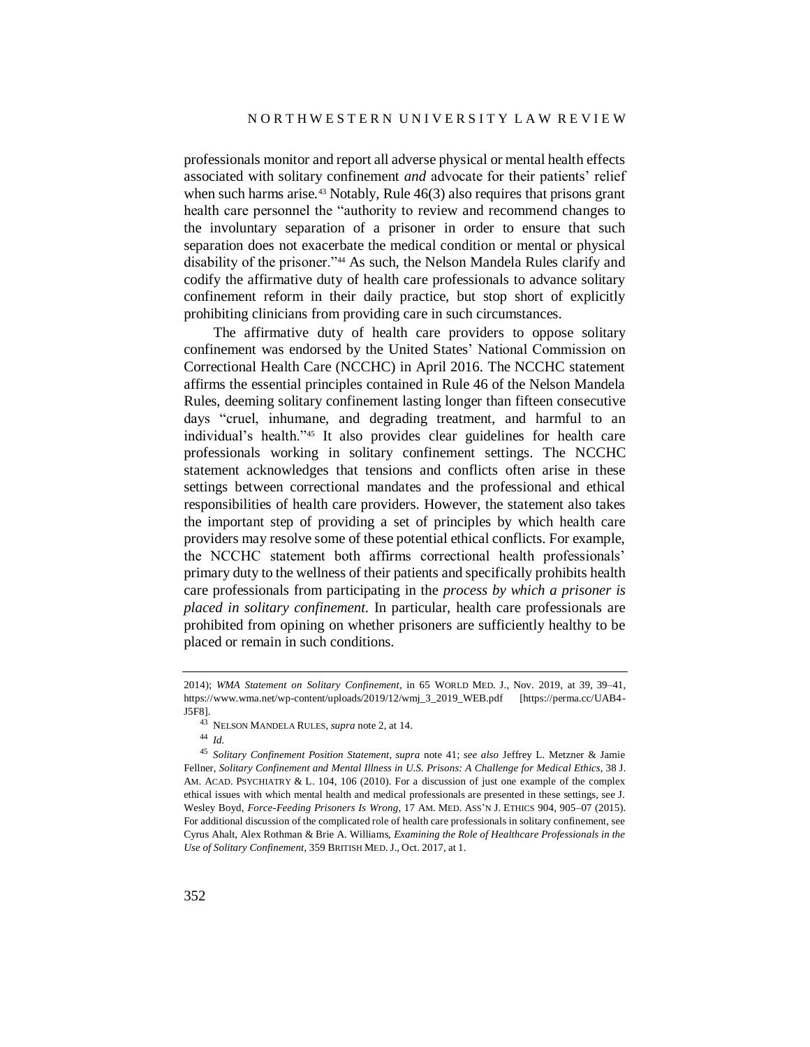professionals monitor and report all adverse physical or mental health effects associated with solitary confinement *and* advocate for their patients' relief when such harms arise.<sup>43</sup> Notably, Rule  $46(3)$  also requires that prisons grant health care personnel the "authority to review and recommend changes to the involuntary separation of a prisoner in order to ensure that such separation does not exacerbate the medical condition or mental or physical disability of the prisoner."<sup>44</sup> As such, the Nelson Mandela Rules clarify and codify the affirmative duty of health care professionals to advance solitary confinement reform in their daily practice, but stop short of explicitly prohibiting clinicians from providing care in such circumstances.

The affirmative duty of health care providers to oppose solitary confinement was endorsed by the United States' National Commission on Correctional Health Care (NCCHC) in April 2016. The NCCHC statement affirms the essential principles contained in Rule 46 of the Nelson Mandela Rules, deeming solitary confinement lasting longer than fifteen consecutive days "cruel, inhumane, and degrading treatment, and harmful to an individual's health."<sup>45</sup> It also provides clear guidelines for health care professionals working in solitary confinement settings. The NCCHC statement acknowledges that tensions and conflicts often arise in these settings between correctional mandates and the professional and ethical responsibilities of health care providers. However, the statement also takes the important step of providing a set of principles by which health care providers may resolve some of these potential ethical conflicts. For example, the NCCHC statement both affirms correctional health professionals' primary duty to the wellness of their patients and specifically prohibits health care professionals from participating in the *process by which a prisoner is placed in solitary confinement*. In particular, health care professionals are prohibited from opining on whether prisoners are sufficiently healthy to be placed or remain in such conditions.

<sup>2014);</sup> *WMA Statement on Solitary Confinement*, in 65 WORLD MED. J., Nov. 2019, at 39, 39–41, https://www.wma.net/wp-content/uploads/2019/12/wmj\_3\_2019\_WEB.pdf [https://perma.cc/UAB4- J5F8].

<sup>43</sup> NELSON MANDELA RULES, *supra* not[e 2,](#page-0-0) at 14.

<sup>44</sup> *Id.*

<sup>45</sup> *Solitary Confinement Position Statement*, *supra* note [41;](#page-16-0) *see also* Jeffrey L. Metzner & Jamie Fellner, *Solitary Confinement and Mental Illness in U.S. Prisons: A Challenge for Medical Ethics,* 38 J. AM. ACAD. PSYCHIATRY & L. 104, 106 (2010). For a discussion of just one example of the complex ethical issues with which mental health and medical professionals are presented in these settings, see J. Wesley Boyd, *Force-Feeding Prisoners Is Wrong*, 17 AM. MED. ASS'N J. ETHICS 904, 905–07 (2015). For additional discussion of the complicated role of health care professionals in solitary confinement, see Cyrus Ahalt, Alex Rothman & Brie A. Williams, *Examining the Role of Healthcare Professionals in the Use of Solitary Confinement*, 359 BRITISH MED. J., Oct. 2017, at 1.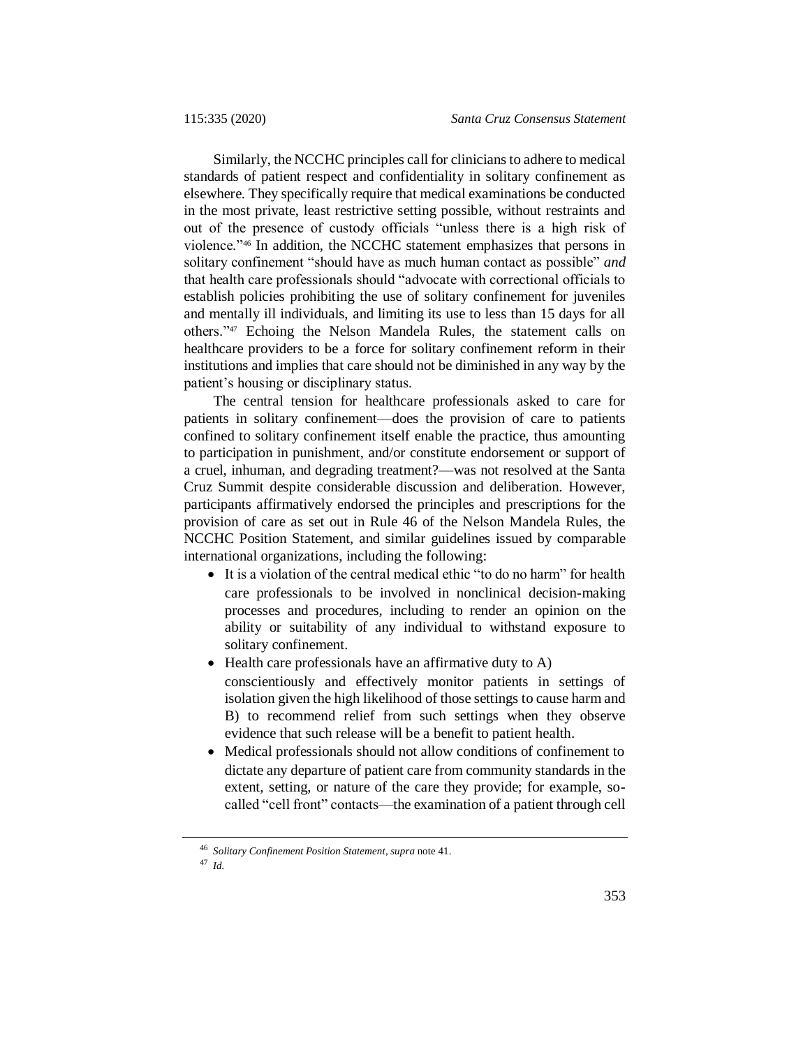Similarly, the NCCHC principles call for clinicians to adhere to medical standards of patient respect and confidentiality in solitary confinement as elsewhere. They specifically require that medical examinations be conducted in the most private, least restrictive setting possible, without restraints and out of the presence of custody officials "unless there is a high risk of violence."<sup>46</sup> In addition, the NCCHC statement emphasizes that persons in solitary confinement "should have as much human contact as possible" *and* that health care professionals should "advocate with correctional officials to establish policies prohibiting the use of solitary confinement for juveniles and mentally ill individuals, and limiting its use to less than 15 days for all others."<sup>47</sup> Echoing the Nelson Mandela Rules, the statement calls on healthcare providers to be a force for solitary confinement reform in their institutions and implies that care should not be diminished in any way by the patient's housing or disciplinary status.

The central tension for healthcare professionals asked to care for patients in solitary confinement—does the provision of care to patients confined to solitary confinement itself enable the practice, thus amounting to participation in punishment, and/or constitute endorsement or support of a cruel, inhuman, and degrading treatment?—was not resolved at the Santa Cruz Summit despite considerable discussion and deliberation. However, participants affirmatively endorsed the principles and prescriptions for the provision of care as set out in Rule 46 of the Nelson Mandela Rules, the NCCHC Position Statement, and similar guidelines issued by comparable international organizations, including the following:

- It is a violation of the central medical ethic "to do no harm" for health care professionals to be involved in nonclinical decision-making processes and procedures, including to render an opinion on the ability or suitability of any individual to withstand exposure to solitary confinement.
- Health care professionals have an affirmative duty to A) conscientiously and effectively monitor patients in settings of isolation given the high likelihood of those settings to cause harm and B) to recommend relief from such settings when they observe evidence that such release will be a benefit to patient health.
- Medical professionals should not allow conditions of confinement to dictate any departure of patient care from community standards in the extent, setting, or nature of the care they provide; for example, socalled "cell front" contacts—the examination of a patient through cell

<sup>46</sup> *Solitary Confinement Position Statement*, *supra* not[e 41.](#page-16-0)

<sup>47</sup> *Id.*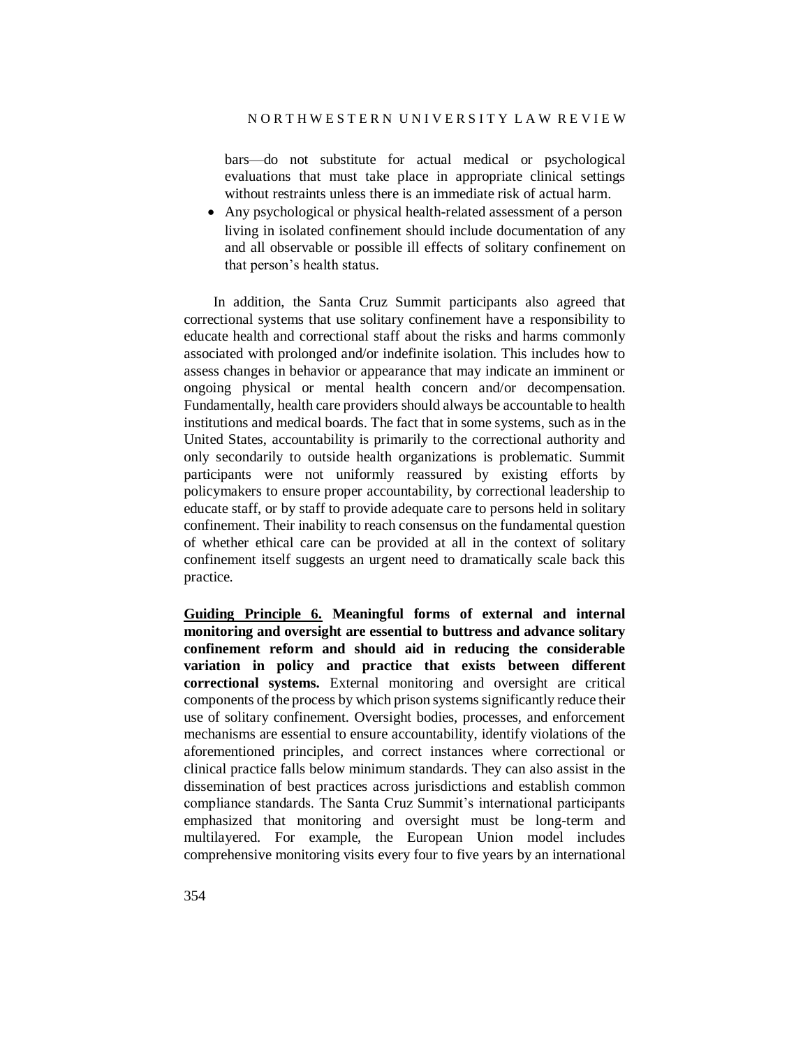bars—do not substitute for actual medical or psychological evaluations that must take place in appropriate clinical settings without restraints unless there is an immediate risk of actual harm.

 Any psychological or physical health-related assessment of a person living in isolated confinement should include documentation of any and all observable or possible ill effects of solitary confinement on that person's health status.

In addition, the Santa Cruz Summit participants also agreed that correctional systems that use solitary confinement have a responsibility to educate health and correctional staff about the risks and harms commonly associated with prolonged and/or indefinite isolation. This includes how to assess changes in behavior or appearance that may indicate an imminent or ongoing physical or mental health concern and/or decompensation. Fundamentally, health care providers should always be accountable to health institutions and medical boards. The fact that in some systems, such as in the United States, accountability is primarily to the correctional authority and only secondarily to outside health organizations is problematic. Summit participants were not uniformly reassured by existing efforts by policymakers to ensure proper accountability, by correctional leadership to educate staff, or by staff to provide adequate care to persons held in solitary confinement. Their inability to reach consensus on the fundamental question of whether ethical care can be provided at all in the context of solitary confinement itself suggests an urgent need to dramatically scale back this practice.

**Guiding Principle 6. Meaningful forms of external and internal monitoring and oversight are essential to buttress and advance solitary confinement reform and should aid in reducing the considerable variation in policy and practice that exists between different correctional systems.** External monitoring and oversight are critical components of the process by which prison systems significantly reduce their use of solitary confinement. Oversight bodies, processes, and enforcement mechanisms are essential to ensure accountability, identify violations of the aforementioned principles, and correct instances where correctional or clinical practice falls below minimum standards. They can also assist in the dissemination of best practices across jurisdictions and establish common compliance standards. The Santa Cruz Summit's international participants emphasized that monitoring and oversight must be long-term and multilayered. For example, the European Union model includes comprehensive monitoring visits every four to five years by an international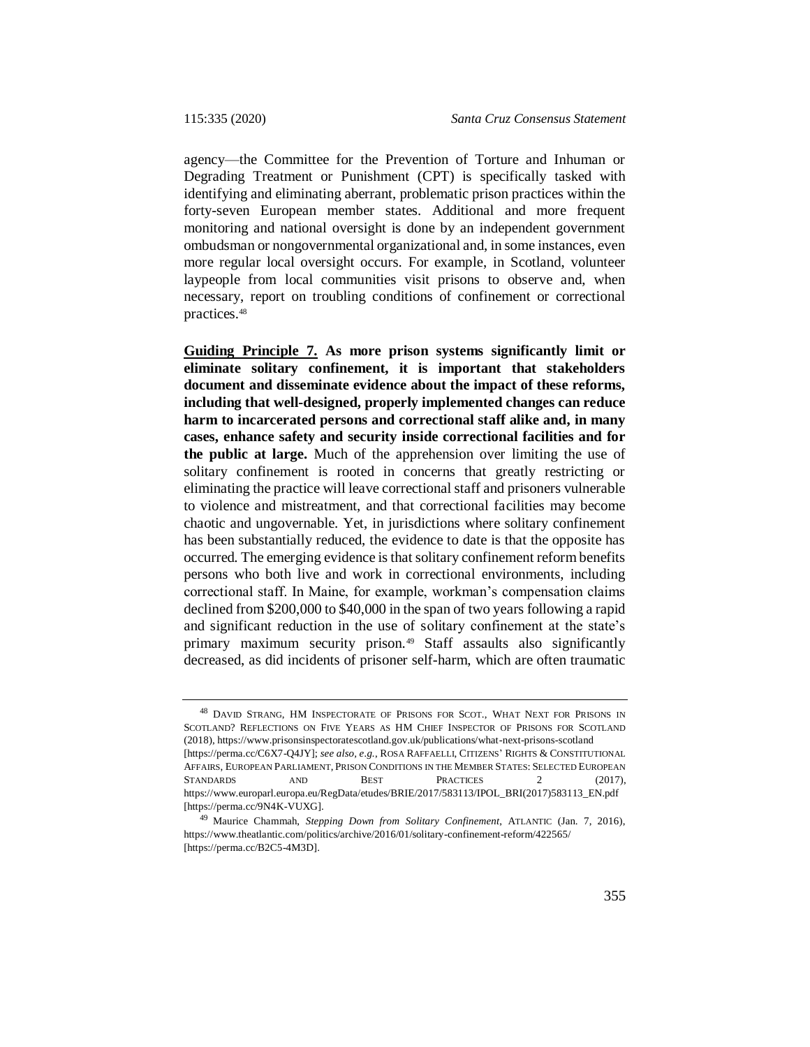agency—the Committee for the Prevention of Torture and Inhuman or Degrading Treatment or Punishment (CPT) is specifically tasked with identifying and eliminating aberrant, problematic prison practices within the forty-seven European member states. Additional and more frequent monitoring and national oversight is done by an independent government ombudsman or nongovernmental organizational and, in some instances, even more regular local oversight occurs. For example, in Scotland, volunteer laypeople from local communities visit prisons to observe and, when necessary, report on troubling conditions of confinement or correctional practices.<sup>48</sup>

**Guiding Principle 7. As more prison systems significantly limit or eliminate solitary confinement, it is important that stakeholders document and disseminate evidence about the impact of these reforms, including that well-designed, properly implemented changes can reduce harm to incarcerated persons and correctional staff alike and, in many cases, enhance safety and security inside correctional facilities and for the public at large.** Much of the apprehension over limiting the use of solitary confinement is rooted in concerns that greatly restricting or eliminating the practice will leave correctional staff and prisoners vulnerable to violence and mistreatment, and that correctional facilities may become chaotic and ungovernable. Yet, in jurisdictions where solitary confinement has been substantially reduced, the evidence to date is that the opposite has occurred. The emerging evidence is that solitary confinement reform benefits persons who both live and work in correctional environments, including correctional staff. In Maine, for example, workman's compensation claims declined from \$200,000 to \$40,000 in the span of two years following a rapid and significant reduction in the use of solitary confinement at the state's primary maximum security prison.<sup>49</sup> Staff assaults also significantly decreased, as did incidents of prisoner self-harm, which are often traumatic

<sup>&</sup>lt;sup>48</sup> DAVID STRANG, HM INSPECTORATE OF PRISONS FOR SCOT., WHAT NEXT FOR PRISONS IN SCOTLAND? REFLECTIONS ON FIVE YEARS AS HM CHIEF INSPECTOR OF PRISONS FOR SCOTLAND (2018), https://www.prisonsinspectoratescotland.gov.uk/publications/what-next-prisons-scotland [https://perma.cc/C6X7-Q4JY]; *see also, e.g.*, ROSA RAFFAELLI, CITIZENS' RIGHTS & CONSTITUTIONAL AFFAIRS, EUROPEAN PARLIAMENT, PRISON CONDITIONS IN THE MEMBER STATES: SELECTED EUROPEAN STANDARDS AND BEST PRACTICES 2 (2017), https://www.europarl.europa.eu/RegData/etudes/BRIE/2017/583113/IPOL\_BRI(2017)583113\_EN.pdf [https://perma.cc/9N4K-VUXG].

<sup>49</sup> Maurice Chammah, *Stepping Down from Solitary Confinement*, ATLANTIC (Jan. 7, 2016), https://www.theatlantic.com/politics/archive/2016/01/solitary-confinement-reform/422565/ [https://perma.cc/B2C5-4M3D].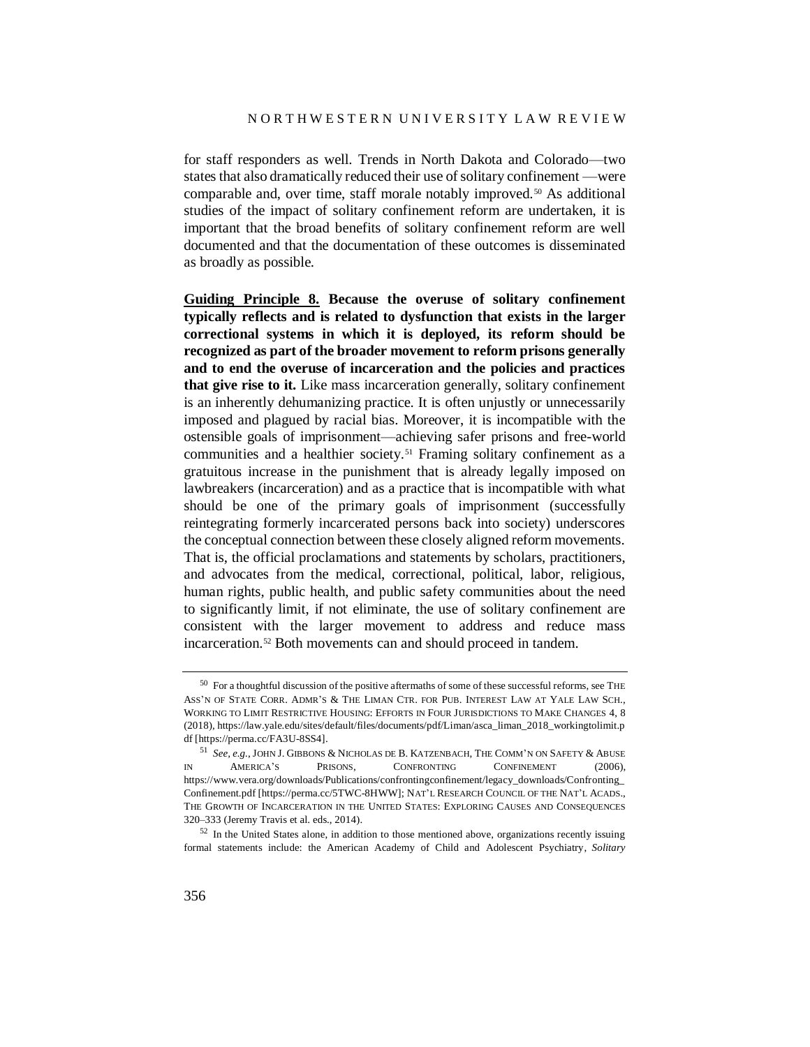for staff responders as well. Trends in North Dakota and Colorado—two states that also dramatically reduced their use of solitary confinement —were comparable and, over time, staff morale notably improved.<sup>50</sup> As additional studies of the impact of solitary confinement reform are undertaken, it is important that the broad benefits of solitary confinement reform are well documented and that the documentation of these outcomes is disseminated as broadly as possible.

**Guiding Principle 8. Because the overuse of solitary confinement typically reflects and is related to dysfunction that exists in the larger correctional systems in which it is deployed, its reform should be recognized as part of the broader movement to reform prisons generally and to end the overuse of incarceration and the policies and practices that give rise to it.** Like mass incarceration generally, solitary confinement is an inherently dehumanizing practice. It is often unjustly or unnecessarily imposed and plagued by racial bias. Moreover, it is incompatible with the ostensible goals of imprisonment—achieving safer prisons and free-world communities and a healthier society.<sup>51</sup> Framing solitary confinement as a gratuitous increase in the punishment that is already legally imposed on lawbreakers (incarceration) and as a practice that is incompatible with what should be one of the primary goals of imprisonment (successfully reintegrating formerly incarcerated persons back into society) underscores the conceptual connection between these closely aligned reform movements. That is, the official proclamations and statements by scholars, practitioners, and advocates from the medical, correctional, political, labor, religious, human rights, public health, and public safety communities about the need to significantly limit, if not eliminate, the use of solitary confinement are consistent with the larger movement to address and reduce mass incarceration.<sup>52</sup> Both movements can and should proceed in tandem.

 $50\,$  For a thoughtful discussion of the positive aftermaths of some of these successful reforms, see THE ASS'N OF STATE CORR. ADMR'S & THE LIMAN CTR. FOR PUB. INTEREST LAW AT YALE LAW SCH., WORKING TO LIMIT RESTRICTIVE HOUSING: EFFORTS IN FOUR JURISDICTIONS TO MAKE CHANGES 4, 8 (2018), https://law.yale.edu/sites/default/files/documents/pdf/Liman/asca\_liman\_2018\_workingtolimit.p df [https://perma.cc/FA3U-8SS4].

 $^{51}$   $See,$   $e.g.,$  JOHN J. GIBBONS & NICHOLAS DE B. KATZENBACH, THE COMM'N ON SAFETY & ABUSE IN AMERICA'S PRISONS, CONFRONTING CONFINEMENT (2006), https://www.vera.org/downloads/Publications/confrontingconfinement/legacy\_downloads/Confronting\_ Confinement.pdf [https://perma.cc/5TWC-8HWW]; NAT'L RESEARCH COUNCIL OF THE NAT'L ACADS., THE GROWTH OF INCARCERATION IN THE UNITED STATES: EXPLORING CAUSES AND CONSEQUENCES 320–333 (Jeremy Travis et al. eds., 2014).

 $52$  In the United States alone, in addition to those mentioned above, organizations recently issuing formal statements include: the American Academy of Child and Adolescent Psychiatry, *Solitary*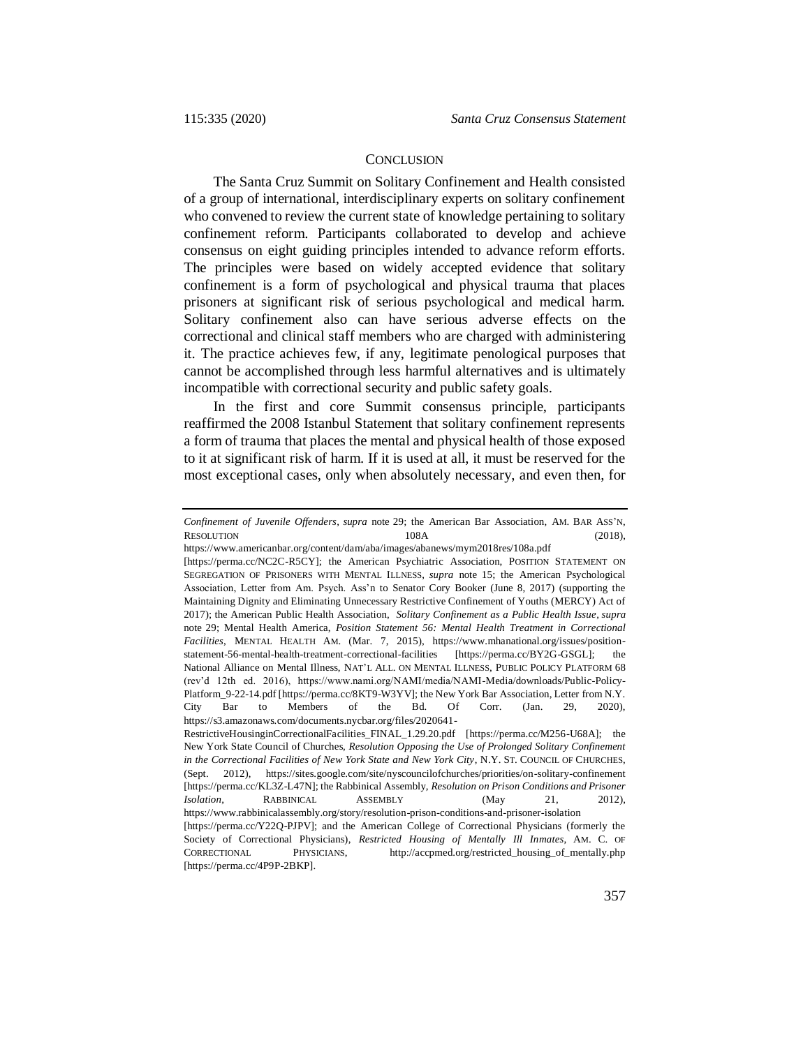#### **CONCLUSION**

The Santa Cruz Summit on Solitary Confinement and Health consisted of a group of international, interdisciplinary experts on solitary confinement who convened to review the current state of knowledge pertaining to solitary confinement reform. Participants collaborated to develop and achieve consensus on eight guiding principles intended to advance reform efforts. The principles were based on widely accepted evidence that solitary confinement is a form of psychological and physical trauma that places prisoners at significant risk of serious psychological and medical harm. Solitary confinement also can have serious adverse effects on the correctional and clinical staff members who are charged with administering it. The practice achieves few, if any, legitimate penological purposes that cannot be accomplished through less harmful alternatives and is ultimately incompatible with correctional security and public safety goals.

In the first and core Summit consensus principle, participants reaffirmed the 2008 Istanbul Statement that solitary confinement represents a form of trauma that places the mental and physical health of those exposed to it at significant risk of harm. If it is used at all, it must be reserved for the most exceptional cases, only when absolutely necessary, and even then, for

*Confinement of Juvenile Offenders*, *supra* note [29;](#page-12-0) the American Bar Association, AM. BAR ASS'N, RESOLUTION 108A (2018),

https://www.americanbar.org/content/dam/aba/images/abanews/mym2018res/108a.pdf

<sup>[</sup>https://perma.cc/NC2C-R5CY]; the American Psychiatric Association, POSITION STATEMENT ON SEGREGATION OF PRISONERS WITH MENTAL ILLNESS, *supra* note [15;](#page-5-0) the American Psychological Association, Letter from Am. Psych. Ass'n to Senator Cory Booker (June 8, 2017) (supporting the Maintaining Dignity and Eliminating Unnecessary Restrictive Confinement of Youths (MERCY) Act of 2017); the American Public Health Association, *Solitary Confinement as a Public Health Issue*, *supra* note [29;](#page-12-0) Mental Health America, *Position Statement 56: Mental Health Treatment in Correctional Facilities*, MENTAL HEALTH AM. (Mar. 7, 2015), https://www.mhanational.org/issues/positionstatement-56-mental-health-treatment-correctional-facilities [https://perma.cc/BY2G-GSGL]; the National Alliance on Mental Illness, NAT'L ALL. ON MENTAL ILLNESS, PUBLIC POLICY PLATFORM 68 (rev'd 12th ed. 2016), https://www.nami.org/NAMI/media/NAMI-Media/downloads/Public-Policy-Platform\_9-22-14.pdf [https://perma.cc/8KT9-W3YV]; the New York Bar Association, Letter from N.Y. City Bar to Members of the Bd. Of Corr. (Jan. 29, 2020), https://s3.amazonaws.com/documents.nycbar.org/files/2020641-

RestrictiveHousinginCorrectionalFacilities\_FINAL\_1.29.20.pdf [https://perma.cc/M256-U68A]; the New York State Council of Churches, *Resolution Opposing the Use of Prolonged Solitary Confinement in the Correctional Facilities of New York State and New York City*, N.Y. ST. COUNCIL OF CHURCHES, (Sept. 2012), https://sites.google.com/site/nyscouncilofchurches/priorities/on-solitary-confinement [https://perma.cc/KL3Z-L47N]; the Rabbinical Assembly, *Resolution on Prison Conditions and Prisoner Isolation*, RABBINICAL ASSEMBLY (May 21, 2012), https://www.rabbinicalassembly.org/story/resolution-prison-conditions-and-prisoner-isolation [https://perma.cc/Y22Q-PJPV]; and the American College of Correctional Physicians (formerly the

Society of Correctional Physicians), *Restricted Housing of Mentally Ill Inmates*, AM. C. OF CORRECTIONAL PHYSICIANS, http://accpmed.org/restricted\_housing\_of\_mentally.php [https://perma.cc/4P9P-2BKP].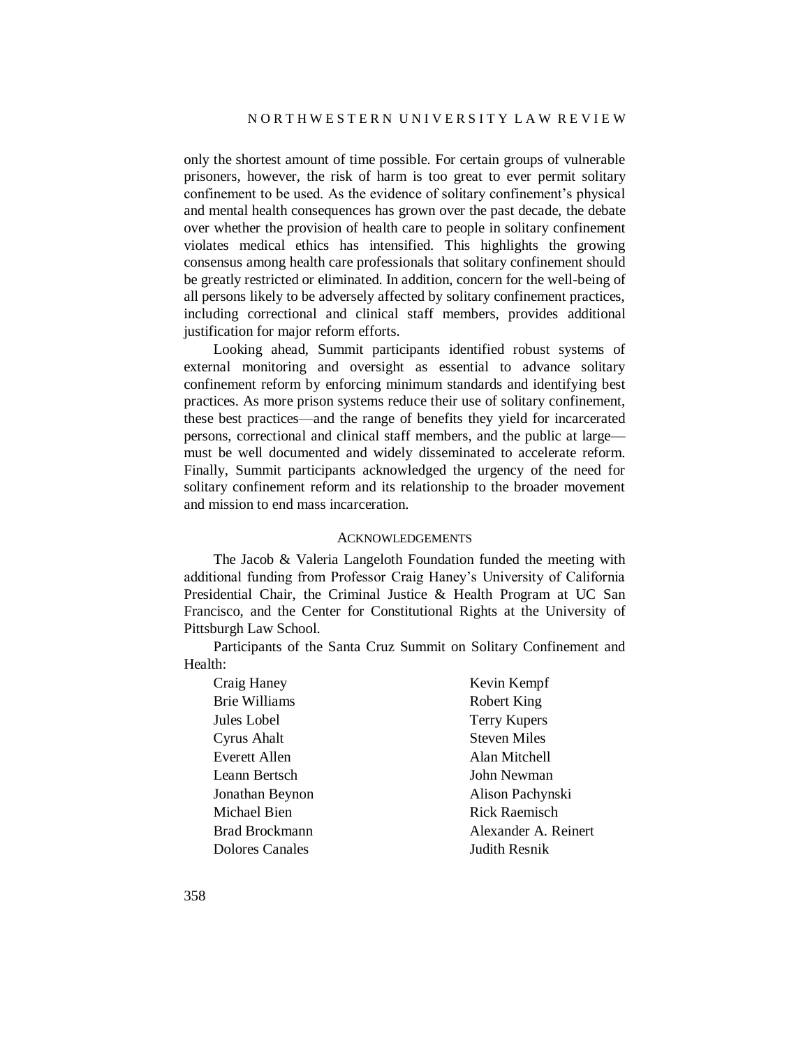only the shortest amount of time possible. For certain groups of vulnerable prisoners, however, the risk of harm is too great to ever permit solitary confinement to be used. As the evidence of solitary confinement's physical and mental health consequences has grown over the past decade, the debate over whether the provision of health care to people in solitary confinement violates medical ethics has intensified. This highlights the growing consensus among health care professionals that solitary confinement should be greatly restricted or eliminated. In addition, concern for the well-being of all persons likely to be adversely affected by solitary confinement practices, including correctional and clinical staff members, provides additional justification for major reform efforts.

Looking ahead, Summit participants identified robust systems of external monitoring and oversight as essential to advance solitary confinement reform by enforcing minimum standards and identifying best practices. As more prison systems reduce their use of solitary confinement, these best practices—and the range of benefits they yield for incarcerated persons, correctional and clinical staff members, and the public at large must be well documented and widely disseminated to accelerate reform. Finally, Summit participants acknowledged the urgency of the need for solitary confinement reform and its relationship to the broader movement and mission to end mass incarceration.

#### ACKNOWLEDGEMENTS

The Jacob & Valeria Langeloth Foundation funded the meeting with additional funding from Professor Craig Haney's University of California Presidential Chair, the Criminal Justice & Health Program at UC San Francisco, and the Center for Constitutional Rights at the University of Pittsburgh Law School.

Participants of the Santa Cruz Summit on Solitary Confinement and Health:

| Craig Haney          | Kevin Kempf          |
|----------------------|----------------------|
| <b>Brie Williams</b> | Robert King          |
| Jules Lobel          | <b>Terry Kupers</b>  |
| Cyrus Ahalt          | <b>Steven Miles</b>  |
| Everett Allen        | Alan Mitchell        |
| Leann Bertsch        | John Newman          |
| Jonathan Beynon      | Alison Pachynski     |
| Michael Bien         | Rick Raemisch        |
| Brad Brockmann       | Alexander A. Reinert |
| Dolores Canales      | Judith Resnik        |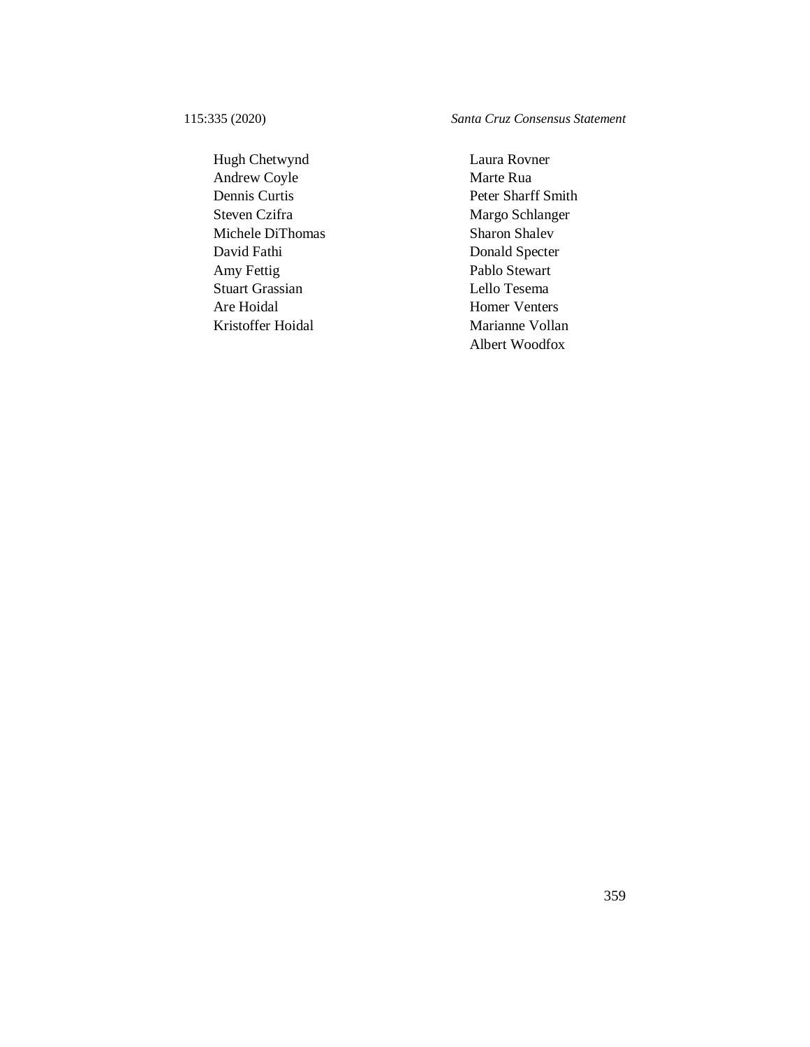Hugh Chetwynd Laura Rovner Andrew Coyle Marte Rua Dennis Curtis Peter Sharff Smith Steven Czifra Margo Schlanger Michele DiThomas Sharon Shalev David Fathi Donald Specter Amy Fettig Pablo Stewart Stuart Grassian Lello Tesema Are Hoidal Homer Venters Kristoffer Hoidal Marianne Vollan

115:335 (2020) *Santa Cruz Consensus Statement*

Albert Woodfox